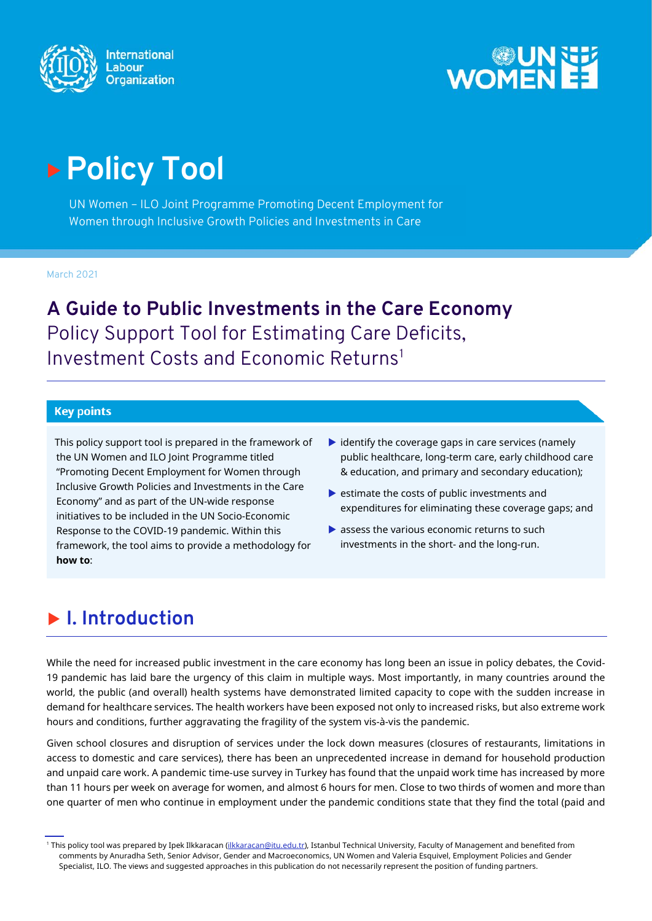



# **Policy Tool**

UN Women – ILO Joint Programme Promoting Decent Employment for Women through Inclusive Growth Policies and Investments in Care

March 2021

**A Guide to Public Investments in the Care Economy** Policy Support Tool for Estimating Care Deficits, Investment Costs and Economic Returns<sup>[1](#page-0-0)</sup>

#### **Key points**

This policy support tool is prepared in the framework of the UN Women and ILO Joint Programme titled "Promoting Decent Employment for Women through Inclusive Growth Policies and Investments in the Care Economy" and as part of the UN-wide response initiatives to be included in the UN Socio-Economic Response to the COVID-19 pandemic. Within this framework, the tool aims to provide a methodology for **how to**:

- $\triangleright$  identify the coverage gaps in care services (namely public healthcare, long-term care, early childhood care & education, and primary and secondary education);
- $\blacktriangleright$  estimate the costs of public investments and expenditures for eliminating these coverage gaps; and
- assess the various economic returns to such investments in the short- and the long-run.

### **I. Introduction**

While the need for increased public investment in the care economy has long been an issue in policy debates, the Covid-19 pandemic has laid bare the urgency of this claim in multiple ways. Most importantly, in many countries around the world, the public (and overall) health systems have demonstrated limited capacity to cope with the sudden increase in demand for healthcare services. The health workers have been exposed not only to increased risks, but also extreme work hours and conditions, further aggravating the fragility of the system vis-à-vis the pandemic.

Given school closures and disruption of services under the lock down measures (closures of restaurants, limitations in access to domestic and care services), there has been an unprecedented increase in demand for household production and unpaid care work. A pandemic time-use survey in Turkey has found that the unpaid work time has increased by more than 11 hours per week on average for women, and almost 6 hours for men. Close to two thirds of women and more than one quarter of men who continue in employment under the pandemic conditions state that they find the total (paid and

<span id="page-0-0"></span><sup>&</sup>lt;sup>1</sup> This policy tool was prepared by Ipek Ilkkaracan [\(ilkkaracan@itu.edu.tr\),](mailto:ilkkaracan@itu.edu.tr) Istanbul Technical University, Faculty of Management and benefited from comments by Anuradha Seth, Senior Advisor, Gender and Macroeconomics, UN Women and Valeria Esquivel, Employment Policies and Gender Specialist, ILO. The views and suggested approaches in this publication do not necessarily represent the position of funding partners.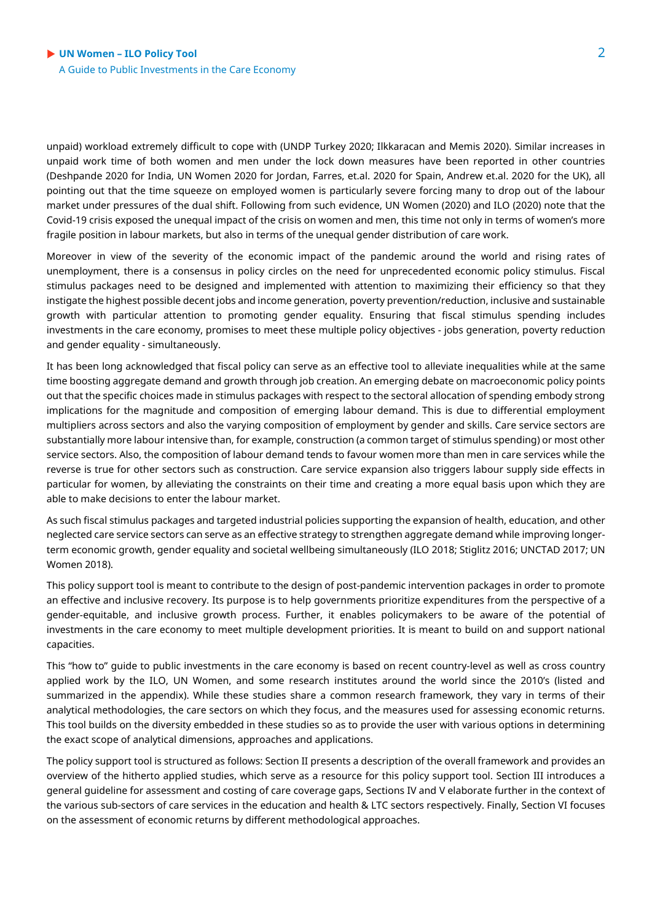unpaid) workload extremely difficult to cope with (UNDP Turkey 2020; Ilkkaracan and Memis 2020). Similar increases in unpaid work time of both women and men under the lock down measures have been reported in other countries (Deshpande 2020 for India, UN Women 2020 for Jordan, Farres, et.al. 2020 for Spain, Andrew et.al. 2020 for the UK), all pointing out that the time squeeze on employed women is particularly severe forcing many to drop out of the labour market under pressures of the dual shift. Following from such evidence, UN Women (2020) and ILO (2020) note that the Covid-19 crisis exposed the unequal impact of the crisis on women and men, this time not only in terms of women's more fragile position in labour markets, but also in terms of the unequal gender distribution of care work.

Moreover in view of the severity of the economic impact of the pandemic around the world and rising rates of unemployment, there is a consensus in policy circles on the need for unprecedented economic policy stimulus. Fiscal stimulus packages need to be designed and implemented with attention to maximizing their efficiency so that they instigate the highest possible decent jobs and income generation, poverty prevention/reduction, inclusive and sustainable growth with particular attention to promoting gender equality. Ensuring that fiscal stimulus spending includes investments in the care economy, promises to meet these multiple policy objectives - jobs generation, poverty reduction and gender equality - simultaneously.

It has been long acknowledged that fiscal policy can serve as an effective tool to alleviate inequalities while at the same time boosting aggregate demand and growth through job creation. An emerging debate on macroeconomic policy points out that the specific choices made in stimulus packages with respect to the sectoral allocation of spending embody strong implications for the magnitude and composition of emerging labour demand. This is due to differential employment multipliers across sectors and also the varying composition of employment by gender and skills. Care service sectors are substantially more labour intensive than, for example, construction (a common target of stimulus spending) or most other service sectors. Also, the composition of labour demand tends to favour women more than men in care services while the reverse is true for other sectors such as construction. Care service expansion also triggers labour supply side effects in particular for women, by alleviating the constraints on their time and creating a more equal basis upon which they are able to make decisions to enter the labour market.

As such fiscal stimulus packages and targeted industrial policies supporting the expansion of health, education, and other neglected care service sectors can serve as an effective strategy to strengthen aggregate demand while improving longerterm economic growth, gender equality and societal wellbeing simultaneously (ILO 2018; Stiglitz 2016; UNCTAD 2017; UN Women 2018).

This policy support tool is meant to contribute to the design of post-pandemic intervention packages in order to promote an effective and inclusive recovery. Its purpose is to help governments prioritize expenditures from the perspective of a gender-equitable, and inclusive growth process. Further, it enables policymakers to be aware of the potential of investments in the care economy to meet multiple development priorities. It is meant to build on and support national capacities.

This "how to" guide to public investments in the care economy is based on recent country-level as well as cross country applied work by the ILO, UN Women, and some research institutes around the world since the 2010's (listed and summarized in the appendix). While these studies share a common research framework, they vary in terms of their analytical methodologies, the care sectors on which they focus, and the measures used for assessing economic returns. This tool builds on the diversity embedded in these studies so as to provide the user with various options in determining the exact scope of analytical dimensions, approaches and applications.

The policy support tool is structured as follows: Section II presents a description of the overall framework and provides an overview of the hitherto applied studies, which serve as a resource for this policy support tool. Section III introduces a general guideline for assessment and costing of care coverage gaps, Sections IV and V elaborate further in the context of the various sub-sectors of care services in the education and health & LTC sectors respectively. Finally, Section VI focuses on the assessment of economic returns by different methodological approaches.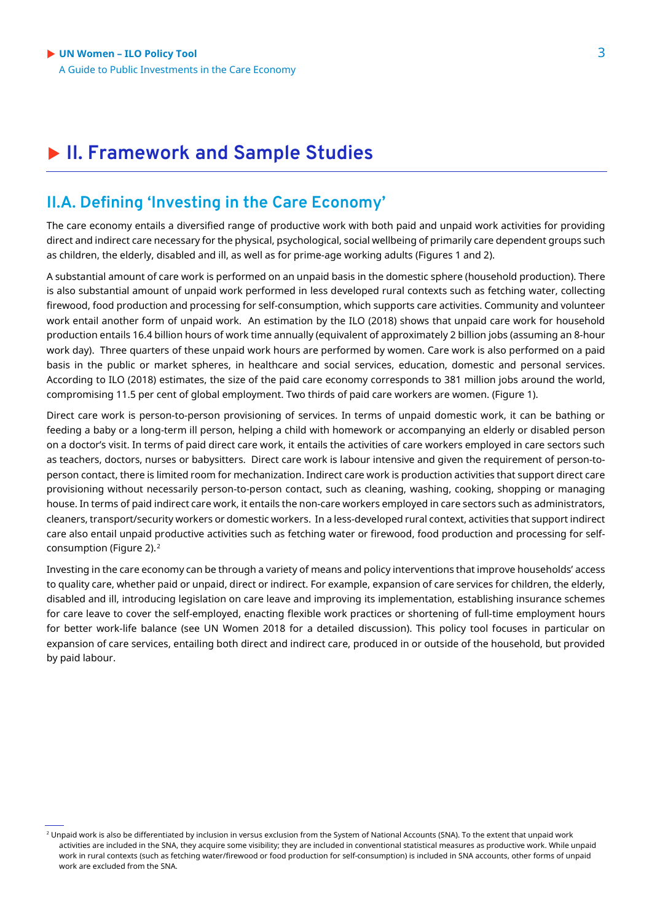### **II. Framework and Sample Studies**

### **II.A. Defining 'Investing in the Care Economy'**

The care economy entails a diversified range of productive work with both paid and unpaid work activities for providing direct and indirect care necessary for the physical, psychological, social wellbeing of primarily care dependent groups such as children, the elderly, disabled and ill, as well as for prime-age working adults (Figures 1 and 2).

A substantial amount of care work is performed on an unpaid basis in the domestic sphere (household production). There is also substantial amount of unpaid work performed in less developed rural contexts such as fetching water, collecting firewood, food production and processing for self-consumption, which supports care activities. Community and volunteer work entail another form of unpaid work. An estimation by the ILO (2018) shows that unpaid care work for household production entails 16.4 billion hours of work time annually (equivalent of approximately 2 billion jobs (assuming an 8-hour work day). Three quarters of these unpaid work hours are performed by women. Care work is also performed on a paid basis in the public or market spheres, in healthcare and social services, education, domestic and personal services. According to ILO (2018) estimates, the size of the paid care economy corresponds to 381 million jobs around the world, compromising 11.5 per cent of global employment. Two thirds of paid care workers are women. (Figure 1).

Direct care work is person-to-person provisioning of services. In terms of unpaid domestic work, it can be bathing or feeding a baby or a long-term ill person, helping a child with homework or accompanying an elderly or disabled person on a doctor's visit. In terms of paid direct care work, it entails the activities of care workers employed in care sectors such as teachers, doctors, nurses or babysitters. Direct care work is labour intensive and given the requirement of person-toperson contact, there is limited room for mechanization. Indirect care work is production activities that support direct care provisioning without necessarily person-to-person contact, such as cleaning, washing, cooking, shopping or managing house. In terms of paid indirect care work, it entails the non-care workers employed in care sectors such as administrators, cleaners, transport/security workers or domestic workers. In a less-developed rural context, activities that support indirect care also entail unpaid productive activities such as fetching water or firewood, food production and processing for self-consumption (Figure [2](#page-2-0)).<sup>2</sup>

Investing in the care economy can be through a variety of means and policy interventions that improve households' access to quality care, whether paid or unpaid, direct or indirect. For example, expansion of care services for children, the elderly, disabled and ill, introducing legislation on care leave and improving its implementation, establishing insurance schemes for care leave to cover the self-employed, enacting flexible work practices or shortening of full-time employment hours for better work-life balance (see UN Women 2018 for a detailed discussion). This policy tool focuses in particular on expansion of care services, entailing both direct and indirect care, produced in or outside of the household, but provided by paid labour.

<span id="page-2-0"></span><sup>&</sup>lt;sup>2</sup> Unpaid work is also be differentiated by inclusion in versus exclusion from the System of National Accounts (SNA). To the extent that unpaid work activities are included in the SNA, they acquire some visibility; they are included in conventional statistical measures as productive work. While unpaid work in rural contexts (such as fetching water/firewood or food production for self-consumption) is included in SNA accounts, other forms of unpaid work are excluded from the SNA.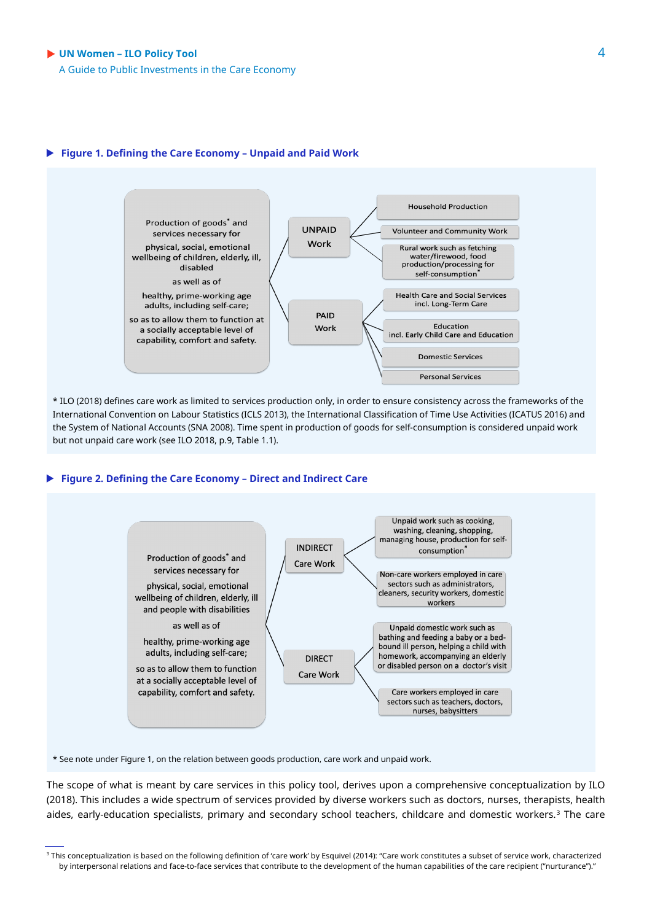A Guide to Public Investments in the Care Economy

#### **Figure 1. Defining the Care Economy – Unpaid and Paid Work**



\* ILO (2018) defines care work as limited to services production only, in order to ensure consistency across the frameworks of the International Convention on Labour Statistics (ICLS 2013), the International Classification of Time Use Activities (ICATUS 2016) and the System of National Accounts (SNA 2008). Time spent in production of goods for self-consumption is considered unpaid work but not unpaid care work (see ILO 2018, p.9, Table 1.1).

#### **Figure 2. Defining the Care Economy – Direct and Indirect Care**



\* See note under Figure 1, on the relation between goods production, care work and unpaid work.

The scope of what is meant by care services in this policy tool, derives upon a comprehensive conceptualization by ILO (2018). This includes a wide spectrum of services provided by diverse workers such as doctors, nurses, therapists, health aides, early-education specialists, primary and secondary school teachers, childcare and domestic workers.[3](#page-3-0) The care

<span id="page-3-0"></span><sup>&</sup>lt;sup>3</sup> This conceptualization is based on the following definition of 'care work' by Esquivel (2014): "Care work constitutes a subset of service work, characterized by interpersonal relations and face-to-face services that contribute to the development of the human capabilities of the care recipient ("nurturance")."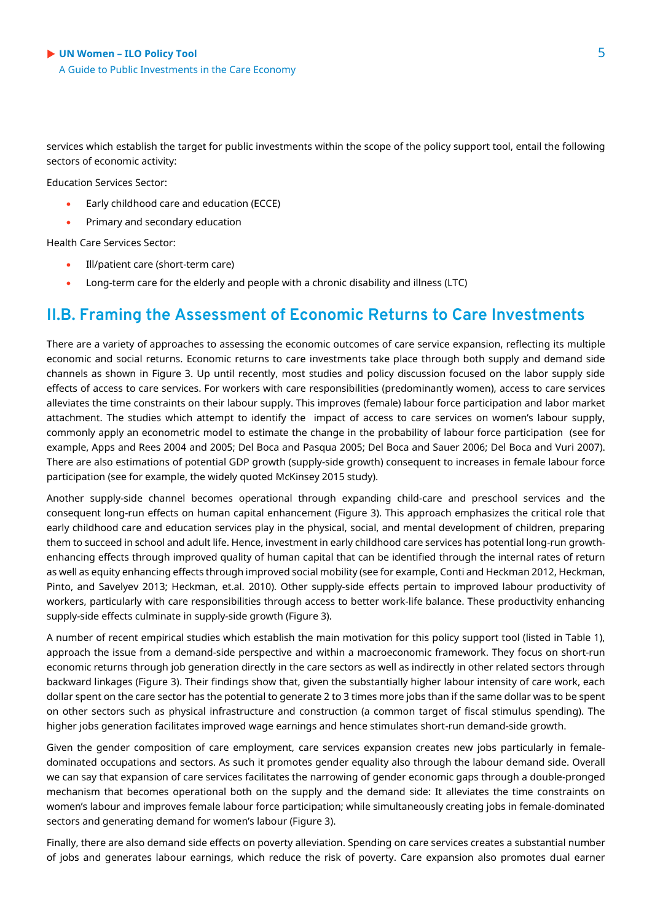services which establish the target for public investments within the scope of the policy support tool, entail the following sectors of economic activity:

Education Services Sector:

- Early childhood care and education (ECCE)
- Primary and secondary education

Health Care Services Sector:

- Ill/patient care (short-term care)
- Long-term care for the elderly and people with a chronic disability and illness (LTC)

### **II.B. Framing the Assessment of Economic Returns to Care Investments**

There are a variety of approaches to assessing the economic outcomes of care service expansion, reflecting its multiple economic and social returns. Economic returns to care investments take place through both supply and demand side channels as shown in Figure 3. Up until recently, most studies and policy discussion focused on the labor supply side effects of access to care services. For workers with care responsibilities (predominantly women), access to care services alleviates the time constraints on their labour supply. This improves (female) labour force participation and labor market attachment. The studies which attempt to identify the impact of access to care services on women's labour supply, commonly apply an econometric model to estimate the change in the probability of labour force participation (see for example, Apps and Rees 2004 and 2005; Del Boca and Pasqua 2005; Del Boca and Sauer 2006; Del Boca and Vuri 2007). There are also estimations of potential GDP growth (supply-side growth) consequent to increases in female labour force participation (see for example, the widely quoted McKinsey 2015 study).

Another supply-side channel becomes operational through expanding child-care and preschool services and the consequent long-run effects on human capital enhancement (Figure 3). This approach emphasizes the critical role that early childhood care and education services play in the physical, social, and mental development of children, preparing them to succeed in school and adult life. Hence, investment in early childhood care services has potential long-run growthenhancing effects through improved quality of human capital that can be identified through the internal rates of return as well as equity enhancing effects through improved social mobility (see for example, Conti and Heckman 2012, Heckman, Pinto, and Savelyev 2013; Heckman, et.al. 2010). Other supply-side effects pertain to improved labour productivity of workers, particularly with care responsibilities through access to better work-life balance. These productivity enhancing supply-side effects culminate in supply-side growth (Figure 3).

A number of recent empirical studies which establish the main motivation for this policy support tool (listed in Table 1), approach the issue from a demand-side perspective and within a macroeconomic framework. They focus on short-run economic returns through job generation directly in the care sectors as well as indirectly in other related sectors through backward linkages (Figure 3). Their findings show that, given the substantially higher labour intensity of care work, each dollar spent on the care sector has the potential to generate 2 to 3 times more jobs than if the same dollar was to be spent on other sectors such as physical infrastructure and construction (a common target of fiscal stimulus spending). The higher jobs generation facilitates improved wage earnings and hence stimulates short-run demand-side growth.

Given the gender composition of care employment, care services expansion creates new jobs particularly in femaledominated occupations and sectors. As such it promotes gender equality also through the labour demand side. Overall we can say that expansion of care services facilitates the narrowing of gender economic gaps through a double-pronged mechanism that becomes operational both on the supply and the demand side: It alleviates the time constraints on women's labour and improves female labour force participation; while simultaneously creating jobs in female-dominated sectors and generating demand for women's labour (Figure 3).

Finally, there are also demand side effects on poverty alleviation. Spending on care services creates a substantial number of jobs and generates labour earnings, which reduce the risk of poverty. Care expansion also promotes dual earner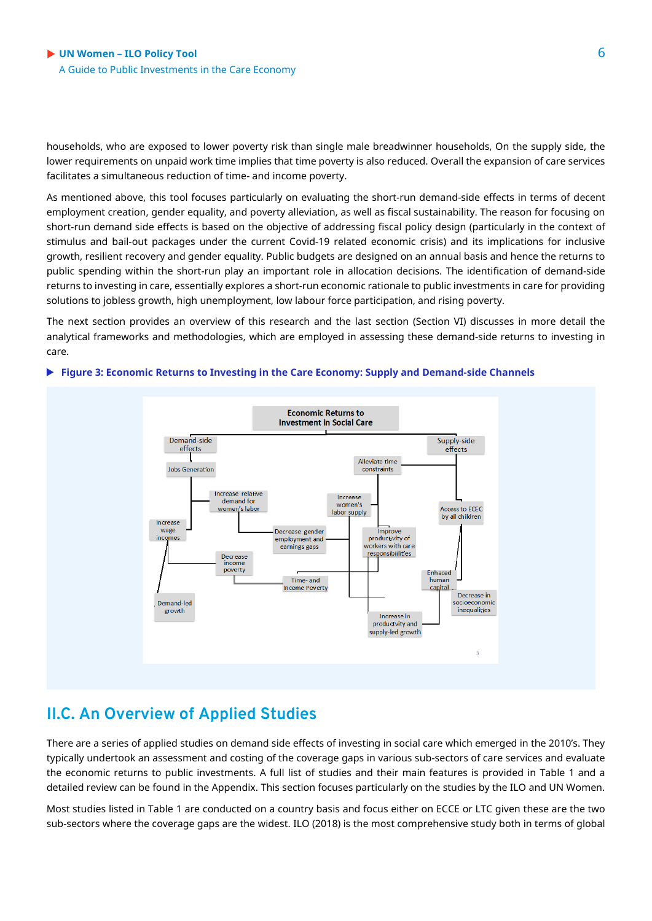households, who are exposed to lower poverty risk than single male breadwinner households, On the supply side, the lower requirements on unpaid work time implies that time poverty is also reduced. Overall the expansion of care services facilitates a simultaneous reduction of time- and income poverty.

As mentioned above, this tool focuses particularly on evaluating the short-run demand-side effects in terms of decent employment creation, gender equality, and poverty alleviation, as well as fiscal sustainability. The reason for focusing on short-run demand side effects is based on the objective of addressing fiscal policy design (particularly in the context of stimulus and bail-out packages under the current Covid-19 related economic crisis) and its implications for inclusive growth, resilient recovery and gender equality. Public budgets are designed on an annual basis and hence the returns to public spending within the short-run play an important role in allocation decisions. The identification of demand-side returns to investing in care, essentially explores a short-run economic rationale to public investments in care for providing solutions to jobless growth, high unemployment, low labour force participation, and rising poverty.

The next section provides an overview of this research and the last section (Section VI) discusses in more detail the analytical frameworks and methodologies, which are employed in assessing these demand-side returns to investing in care.

#### **Economic Returns to Investment in Social Care** Demand-side Supply-side effects effects Alleviate time **Jobs Generation** constraints Increase relative Increase demand for women's women's labor Access to ECEC labor supply by all children Increase Improve wage Decrease gende incomes productivity of employment and workers with care  $r$ nings gaps responsibilities Decrease income poverty Enhaced Time- and humar Income Poverty capital Decrease in socioeconomic Demand-led growth inequalities Increase in productvity and supply-led growth

#### **Figure 3: Economic Returns to Investing in the Care Economy: Supply and Demand-side Channels**

### **II.C. An Overview of Applied Studies**

There are a series of applied studies on demand side effects of investing in social care which emerged in the 2010's. They typically undertook an assessment and costing of the coverage gaps in various sub-sectors of care services and evaluate the economic returns to public investments. A full list of studies and their main features is provided in Table 1 and a detailed review can be found in the Appendix. This section focuses particularly on the studies by the ILO and UN Women.

Most studies listed in Table 1 are conducted on a country basis and focus either on ECCE or LTC given these are the two sub-sectors where the coverage gaps are the widest. ILO (2018) is the most comprehensive study both in terms of global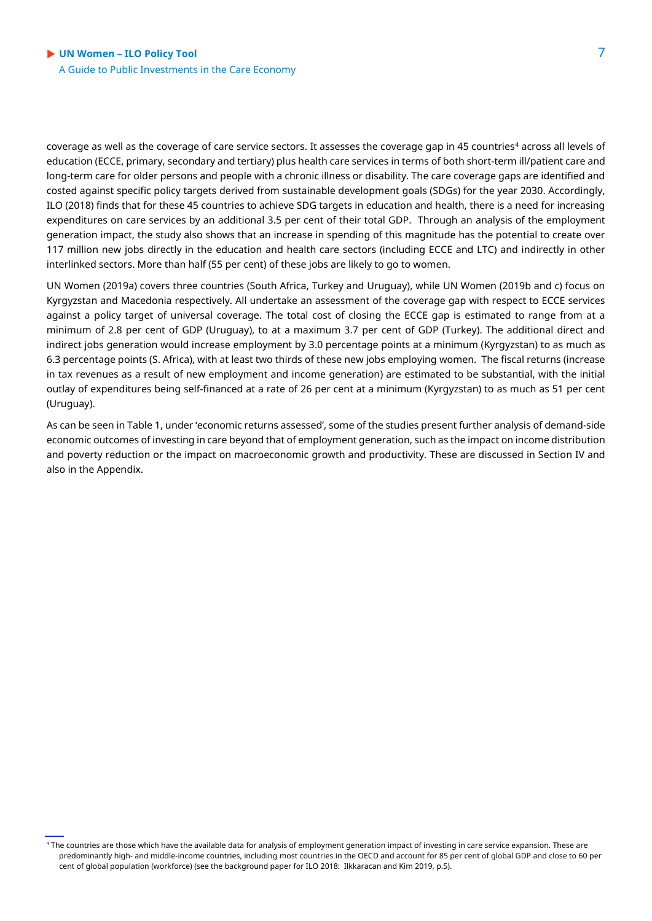coverage as well as the coverage of care service sectors. It assesses the coverage gap in [4](#page-6-0)5 countries<sup>4</sup> across all levels of education (ECCE, primary, secondary and tertiary) plus health care services in terms of both short-term ill/patient care and long-term care for older persons and people with a chronic illness or disability. The care coverage gaps are identified and costed against specific policy targets derived from sustainable development goals (SDGs) for the year 2030. Accordingly, ILO (2018) finds that for these 45 countries to achieve SDG targets in education and health, there is a need for increasing expenditures on care services by an additional 3.5 per cent of their total GDP. Through an analysis of the employment generation impact, the study also shows that an increase in spending of this magnitude has the potential to create over 117 million new jobs directly in the education and health care sectors (including ECCE and LTC) and indirectly in other interlinked sectors. More than half (55 per cent) of these jobs are likely to go to women.

UN Women (2019a) covers three countries (South Africa, Turkey and Uruguay), while UN Women (2019b and c) focus on Kyrgyzstan and Macedonia respectively. All undertake an assessment of the coverage gap with respect to ECCE services against a policy target of universal coverage. The total cost of closing the ECCE gap is estimated to range from at a minimum of 2.8 per cent of GDP (Uruguay), to at a maximum 3.7 per cent of GDP (Turkey). The additional direct and indirect jobs generation would increase employment by 3.0 percentage points at a minimum (Kyrgyzstan) to as much as 6.3 percentage points (S. Africa), with at least two thirds of these new jobs employing women. The fiscal returns (increase in tax revenues as a result of new employment and income generation) are estimated to be substantial, with the initial outlay of expenditures being self-financed at a rate of 26 per cent at a minimum (Kyrgyzstan) to as much as 51 per cent (Uruguay).

As can be seen in Table 1, under 'economic returns assessed', some of the studies present further analysis of demand-side economic outcomes of investing in care beyond that of employment generation, such as the impact on income distribution and poverty reduction or the impact on macroeconomic growth and productivity. These are discussed in Section IV and also in the Appendix.

<span id="page-6-0"></span><sup>4</sup> The countries are those which have the available data for analysis of employment generation impact of investing in care service expansion. These are predominantly high- and middle-income countries, including most countries in the OECD and account for 85 per cent of global GDP and close to 60 per cent of global population (workforce) (see the background paper for ILO 2018: Ilkkaracan and Kim 2019, p.5).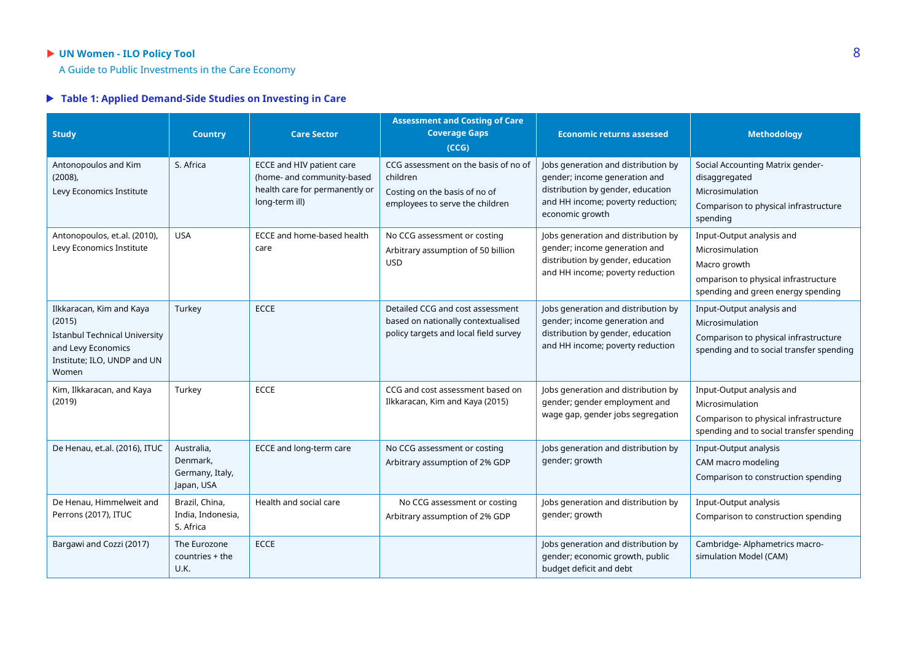### **UN Women - ILO Policy Tool** 8

A Guide to Public Investments in the Care Economy

#### **Table 1: Applied Demand-Side Studies on Investing in Care**

| <b>Study</b>                                                                                                                             | <b>Country</b>                                          | <b>Care Sector</b>                                                                                          | <b>Assessment and Costing of Care</b><br><b>Coverage Gaps</b><br>(CCG)                                               | <b>Economic returns assessed</b>                                                                                                                                  | <b>Methodology</b>                                                                                                                         |
|------------------------------------------------------------------------------------------------------------------------------------------|---------------------------------------------------------|-------------------------------------------------------------------------------------------------------------|----------------------------------------------------------------------------------------------------------------------|-------------------------------------------------------------------------------------------------------------------------------------------------------------------|--------------------------------------------------------------------------------------------------------------------------------------------|
| Antonopoulos and Kim<br>$(2008)$ ,<br>Levy Economics Institute                                                                           | S. Africa                                               | ECCE and HIV patient care<br>(home- and community-based<br>health care for permanently or<br>long-term ill) | CCG assessment on the basis of no of<br>children<br>Costing on the basis of no of<br>employees to serve the children | Jobs generation and distribution by<br>gender; income generation and<br>distribution by gender, education<br>and HH income; poverty reduction;<br>economic growth | Social Accounting Matrix gender-<br>disaggregated<br>Microsimulation<br>Comparison to physical infrastructure<br>spending                  |
| Antonopoulos, et.al. (2010),<br>Levy Economics Institute                                                                                 | <b>USA</b>                                              | ECCE and home-based health<br>care                                                                          | No CCG assessment or costing<br>Arbitrary assumption of 50 billion<br><b>USD</b>                                     | Jobs generation and distribution by<br>gender; income generation and<br>distribution by gender, education<br>and HH income; poverty reduction                     | Input-Output analysis and<br>Microsimulation<br>Macro growth<br>omparison to physical infrastructure<br>spending and green energy spending |
| Ilkkaracan, Kim and Kaya<br>(2015)<br><b>Istanbul Technical University</b><br>and Levy Economics<br>Institute; ILO, UNDP and UN<br>Women | Turkey                                                  | <b>ECCE</b>                                                                                                 | Detailed CCG and cost assessment<br>based on nationally contextualised<br>policy targets and local field survey      | Jobs generation and distribution by<br>gender; income generation and<br>distribution by gender, education<br>and HH income; poverty reduction                     | Input-Output analysis and<br>Microsimulation<br>Comparison to physical infrastructure<br>spending and to social transfer spending          |
| Kim, Ilkkaracan, and Kaya<br>(2019)                                                                                                      | Turkey                                                  | <b>ECCE</b>                                                                                                 | CCG and cost assessment based on<br>Ilkkaracan, Kim and Kaya (2015)                                                  | Jobs generation and distribution by<br>gender; gender employment and<br>wage gap, gender jobs segregation                                                         | Input-Output analysis and<br>Microsimulation<br>Comparison to physical infrastructure<br>spending and to social transfer spending          |
| De Henau, et.al. (2016), ITUC                                                                                                            | Australia,<br>Denmark,<br>Germany, Italy,<br>Japan, USA | ECCE and long-term care                                                                                     | No CCG assessment or costing<br>Arbitrary assumption of 2% GDP                                                       | Jobs generation and distribution by<br>gender; growth                                                                                                             | Input-Output analysis<br>CAM macro modeling<br>Comparison to construction spending                                                         |
| De Henau, Himmelweit and<br>Perrons (2017), ITUC                                                                                         | Brazil, China,<br>India, Indonesia,<br>S. Africa        | Health and social care                                                                                      | No CCG assessment or costing<br>Arbitrary assumption of 2% GDP                                                       | Jobs generation and distribution by<br>gender; growth                                                                                                             | Input-Output analysis<br>Comparison to construction spending                                                                               |
| Bargawi and Cozzi (2017)                                                                                                                 | The Eurozone<br>countries + the<br>U.K.                 | <b>ECCE</b>                                                                                                 |                                                                                                                      | Jobs generation and distribution by<br>gender; economic growth, public<br>budget deficit and debt                                                                 | Cambridge- Alphametrics macro-<br>simulation Model (CAM)                                                                                   |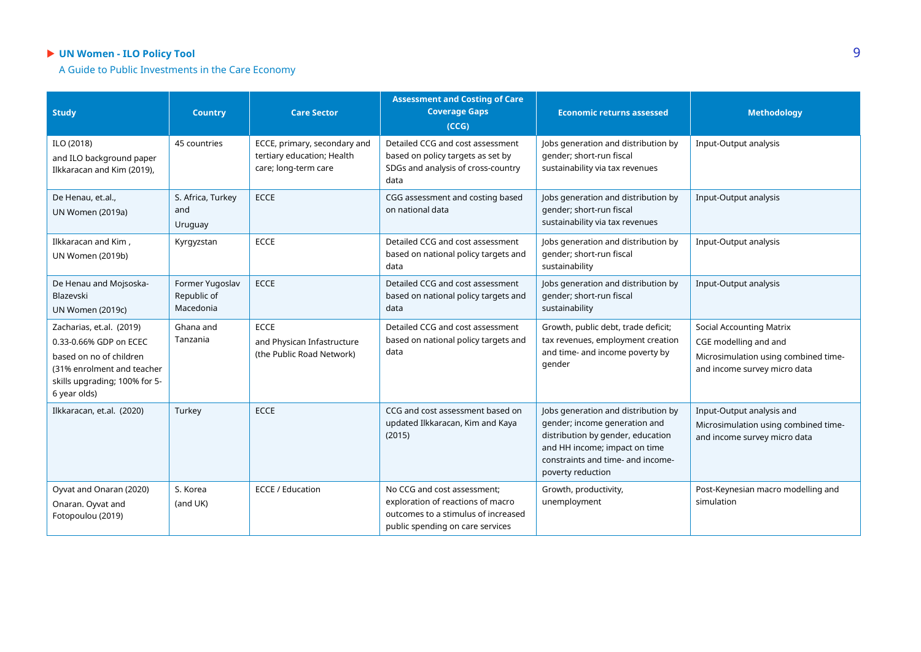### **UN Women - ILO Policy Tool** 9

A Guide to Public Investments in the Care Economy

| <b>Study</b>                                                                                                                                                 | <b>Country</b>                              | <b>Care Sector</b>                                                                 | <b>Assessment and Costing of Care</b><br><b>Coverage Gaps</b><br>(CCG)                                                                      | <b>Economic returns assessed</b>                                                                                                                                                                     | <b>Methodology</b>                                                                                                               |
|--------------------------------------------------------------------------------------------------------------------------------------------------------------|---------------------------------------------|------------------------------------------------------------------------------------|---------------------------------------------------------------------------------------------------------------------------------------------|------------------------------------------------------------------------------------------------------------------------------------------------------------------------------------------------------|----------------------------------------------------------------------------------------------------------------------------------|
| ILO (2018)<br>and ILO background paper<br>Ilkkaracan and Kim (2019),                                                                                         | 45 countries                                | ECCE, primary, secondary and<br>tertiary education; Health<br>care; long-term care | Detailed CCG and cost assessment<br>based on policy targets as set by<br>SDGs and analysis of cross-country<br>data                         | Jobs generation and distribution by<br>gender; short-run fiscal<br>sustainability via tax revenues                                                                                                   | Input-Output analysis                                                                                                            |
| De Henau, et.al.,<br>UN Women (2019a)                                                                                                                        | S. Africa, Turkey<br>and<br>Uruguay         | <b>ECCE</b>                                                                        | CGG assessment and costing based<br>on national data                                                                                        | Jobs generation and distribution by<br>gender; short-run fiscal<br>sustainability via tax revenues                                                                                                   | <b>Input-Output analysis</b>                                                                                                     |
| Ilkkaracan and Kim,<br><b>UN Women (2019b)</b>                                                                                                               | Kyrgyzstan                                  | <b>ECCE</b>                                                                        | Detailed CCG and cost assessment<br>based on national policy targets and<br>data                                                            | Jobs generation and distribution by<br>gender; short-run fiscal<br>sustainability                                                                                                                    | Input-Output analysis                                                                                                            |
| De Henau and Mojsoska-<br>Blazevski<br><b>UN Women (2019c)</b>                                                                                               | Former Yugoslav<br>Republic of<br>Macedonia | <b>ECCE</b>                                                                        | Detailed CCG and cost assessment<br>based on national policy targets and<br>data                                                            | Jobs generation and distribution by<br>gender; short-run fiscal<br>sustainability                                                                                                                    | Input-Output analysis                                                                                                            |
| Zacharias, et.al. (2019)<br>0.33-0.66% GDP on ECEC<br>based on no of children<br>(31% enrolment and teacher<br>skills upgrading; 100% for 5-<br>6 year olds) | Ghana and<br>Tanzania                       | <b>ECCE</b><br>and Physican Infastructure<br>(the Public Road Network)             | Detailed CCG and cost assessment<br>based on national policy targets and<br>data                                                            | Growth, public debt, trade deficit;<br>tax revenues, employment creation<br>and time- and income poverty by<br>gender                                                                                | <b>Social Accounting Matrix</b><br>CGE modelling and and<br>Microsimulation using combined time-<br>and income survey micro data |
| Ilkkaracan, et.al. (2020)                                                                                                                                    | Turkey                                      | <b>ECCE</b>                                                                        | CCG and cost assessment based on<br>updated Ilkkaracan, Kim and Kaya<br>(2015)                                                              | Jobs generation and distribution by<br>gender; income generation and<br>distribution by gender, education<br>and HH income; impact on time<br>constraints and time- and income-<br>poverty reduction | Input-Output analysis and<br>Microsimulation using combined time-<br>and income survey micro data                                |
| Oyvat and Onaran (2020)<br>Onaran. Oyvat and<br>Fotopoulou (2019)                                                                                            | S. Korea<br>(and UK)                        | <b>ECCE / Education</b>                                                            | No CCG and cost assessment;<br>exploration of reactions of macro<br>outcomes to a stimulus of increased<br>public spending on care services | Growth, productivity,<br>unemployment                                                                                                                                                                | Post-Keynesian macro modelling and<br>simulation                                                                                 |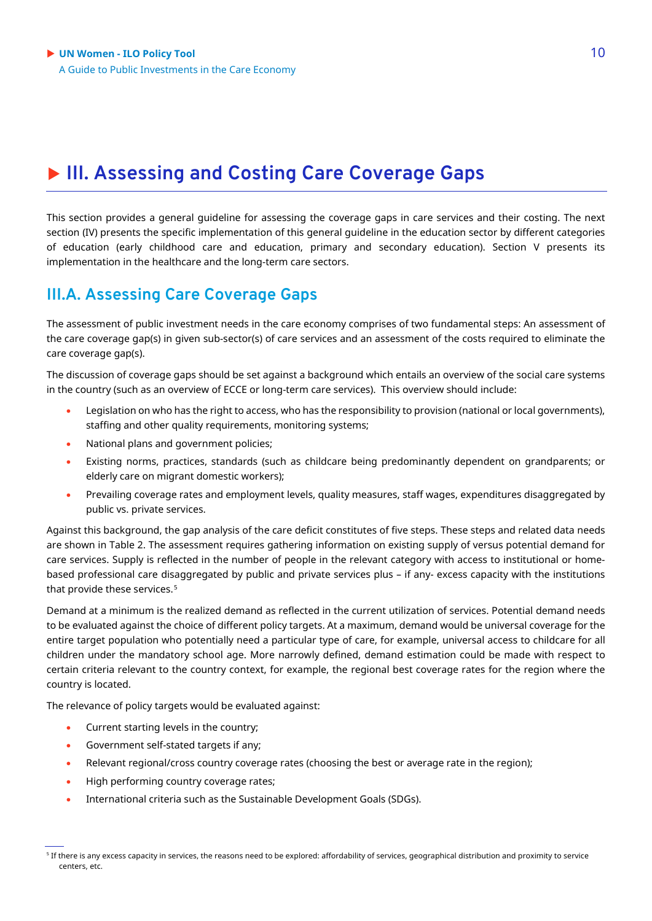### **III. Assessing and Costing Care Coverage Gaps**

This section provides a general guideline for assessing the coverage gaps in care services and their costing. The next section (IV) presents the specific implementation of this general guideline in the education sector by different categories of education (early childhood care and education, primary and secondary education). Section V presents its implementation in the healthcare and the long-term care sectors.

### **III.A. Assessing Care Coverage Gaps**

The assessment of public investment needs in the care economy comprises of two fundamental steps: An assessment of the care coverage gap(s) in given sub-sector(s) of care services and an assessment of the costs required to eliminate the care coverage gap(s).

The discussion of coverage gaps should be set against a background which entails an overview of the social care systems in the country (such as an overview of ECCE or long-term care services). This overview should include:

- Legislation on who has the right to access, who has the responsibility to provision (national or local governments), staffing and other quality requirements, monitoring systems;
- National plans and government policies;
- Existing norms, practices, standards (such as childcare being predominantly dependent on grandparents; or elderly care on migrant domestic workers);
- Prevailing coverage rates and employment levels, quality measures, staff wages, expenditures disaggregated by public vs. private services.

Against this background, the gap analysis of the care deficit constitutes of five steps. These steps and related data needs are shown in Table 2. The assessment requires gathering information on existing supply of versus potential demand for care services. Supply is reflected in the number of people in the relevant category with access to institutional or homebased professional care disaggregated by public and private services plus – if any- excess capacity with the institutions that provide these services.<sup>[5](#page-9-0)</sup>

Demand at a minimum is the realized demand as reflected in the current utilization of services. Potential demand needs to be evaluated against the choice of different policy targets. At a maximum, demand would be universal coverage for the entire target population who potentially need a particular type of care, for example, universal access to childcare for all children under the mandatory school age. More narrowly defined, demand estimation could be made with respect to certain criteria relevant to the country context, for example, the regional best coverage rates for the region where the country is located.

The relevance of policy targets would be evaluated against:

- Current starting levels in the country;
- Government self-stated targets if any;
- Relevant regional/cross country coverage rates (choosing the best or average rate in the region);
- High performing country coverage rates;
- International criteria such as the Sustainable Development Goals (SDGs).

<span id="page-9-0"></span><sup>5</sup> If there is any excess capacity in services, the reasons need to be explored: affordability of services, geographical distribution and proximity to service centers, etc.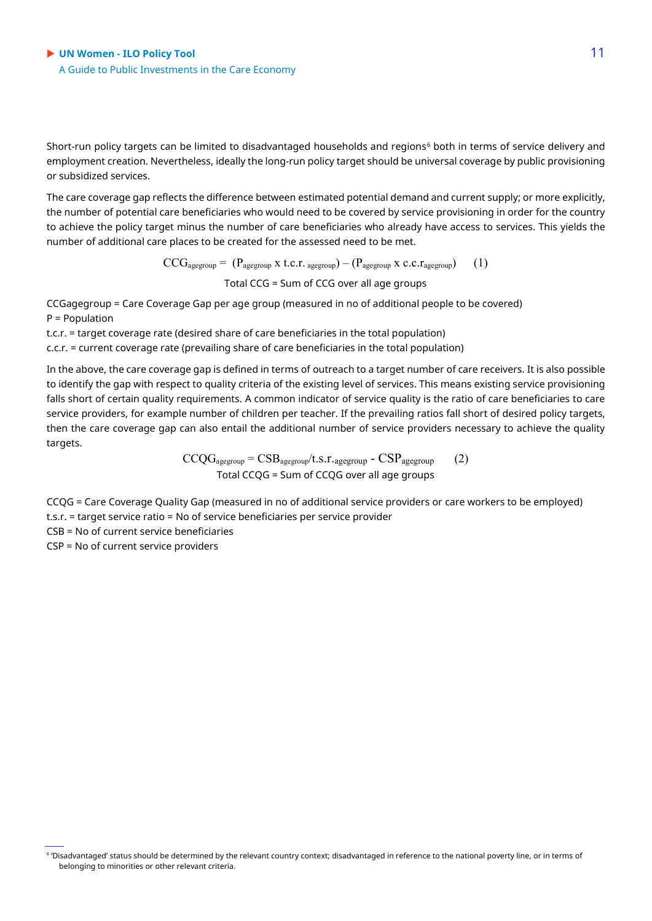Short-run policy targets can be limited to disadvantaged households and regions<sup>[6](#page-10-0)</sup> both in terms of service delivery and employment creation. Nevertheless, ideally the long-run policy target should be universal coverage by public provisioning or subsidized services.

The care coverage gap reflects the difference between estimated potential demand and current supply; or more explicitly, the number of potential care beneficiaries who would need to be covered by service provisioning in order for the country to achieve the policy target minus the number of care beneficiaries who already have access to services. This yields the number of additional care places to be created for the assessed need to be met.

> $CCG_{\text{agegroup}} = (P_{\text{agegroup}} \times t.c.r.\text{agegroup}) - (P_{\text{agegroup}} \times c.c.\text{rangegroup})$  (1) Total CCG = Sum of CCG over all age groups

CCGagegroup = Care Coverage Gap per age group (measured in no of additional people to be covered) P = Population

t.c.r. = target coverage rate (desired share of care beneficiaries in the total population)

c.c.r. = current coverage rate (prevailing share of care beneficiaries in the total population)

In the above, the care coverage gap is defined in terms of outreach to a target number of care receivers. It is also possible to identify the gap with respect to quality criteria of the existing level of services. This means existing service provisioning falls short of certain quality requirements. A common indicator of service quality is the ratio of care beneficiaries to care service providers, for example number of children per teacher. If the prevailing ratios fall short of desired policy targets, then the care coverage gap can also entail the additional number of service providers necessary to achieve the quality targets.

> $CCQG_{agegroup} = CSB_{agegroup}/t.s.r.agegroup - CSP_{agegroup}$  (2) Total CCQG = Sum of CCQG over all age groups

CCQG = Care Coverage Quality Gap (measured in no of additional service providers or care workers to be employed) t.s.r. = target service ratio = No of service beneficiaries per service provider

CSB = No of current service beneficiaries

CSP = No of current service providers

<span id="page-10-0"></span><sup>6</sup> 'Disadvantaged' status should be determined by the relevant country context; disadvantaged in reference to the national poverty line, or in terms of belonging to minorities or other relevant criteria.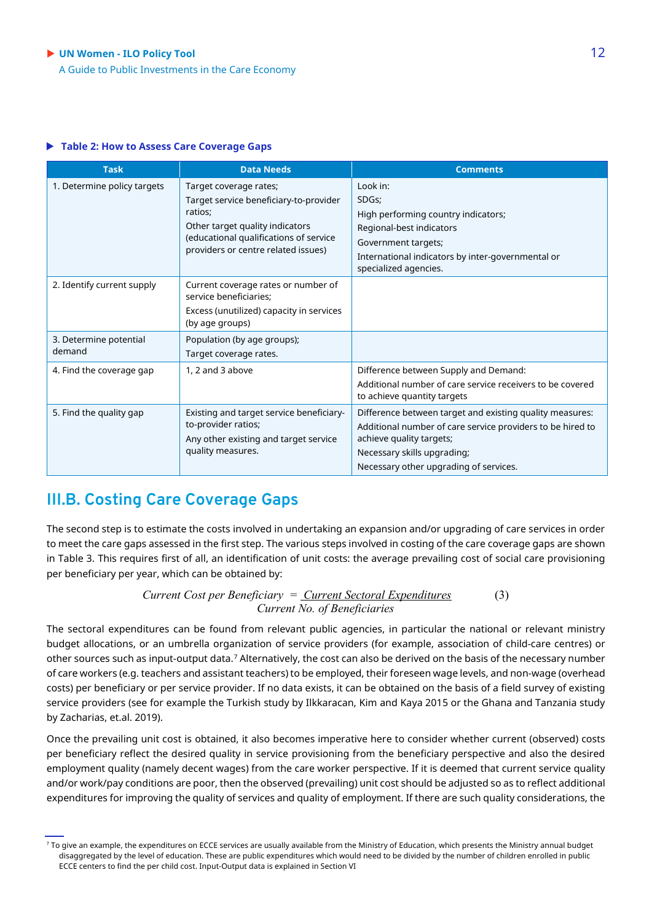#### ▶ UN Women - **ILO Policy Tool** 12

A Guide to Public Investments in the Care Economy

#### **Table 2: How to Assess Care Coverage Gaps**

| <b>Task</b>                      | <b>Data Needs</b>                                                                                                                                                                               | <b>Comments</b>                                                                                                                                                                                                             |
|----------------------------------|-------------------------------------------------------------------------------------------------------------------------------------------------------------------------------------------------|-----------------------------------------------------------------------------------------------------------------------------------------------------------------------------------------------------------------------------|
| 1. Determine policy targets      | Target coverage rates;<br>Target service beneficiary-to-provider<br>ratios:<br>Other target quality indicators<br>(educational qualifications of service<br>providers or centre related issues) | Look in:<br>SDGs;<br>High performing country indicators;<br>Regional-best indicators<br>Government targets;<br>International indicators by inter-governmental or<br>specialized agencies.                                   |
| 2. Identify current supply       | Current coverage rates or number of<br>service beneficiaries;<br>Excess (unutilized) capacity in services<br>(by age groups)                                                                    |                                                                                                                                                                                                                             |
| 3. Determine potential<br>demand | Population (by age groups);<br>Target coverage rates.                                                                                                                                           |                                                                                                                                                                                                                             |
| 4. Find the coverage gap         | 1, 2 and 3 above                                                                                                                                                                                | Difference between Supply and Demand:<br>Additional number of care service receivers to be covered<br>to achieve quantity targets                                                                                           |
| 5. Find the quality gap          | Existing and target service beneficiary-<br>to-provider ratios;<br>Any other existing and target service<br>quality measures.                                                                   | Difference between target and existing quality measures:<br>Additional number of care service providers to be hired to<br>achieve quality targets;<br>Necessary skills upgrading;<br>Necessary other upgrading of services. |

### **III.B. Costing Care Coverage Gaps**

The second step is to estimate the costs involved in undertaking an expansion and/or upgrading of care services in order to meet the care gaps assessed in the first step. The various steps involved in costing of the care coverage gaps are shown in Table 3. This requires first of all, an identification of unit costs: the average prevailing cost of social care provisioning per beneficiary per year, which can be obtained by:

> *Current Cost per Beneficiary = Current Sectoral Expenditures* (3) *Current No. of Beneficiaries*

The sectoral expenditures can be found from relevant public agencies, in particular the national or relevant ministry budget allocations, or an umbrella organization of service providers (for example, association of child-care centres) or other sources such as input-output data.[7](#page-11-0) Alternatively, the cost can also be derived on the basis of the necessary number of care workers (e.g. teachers and assistant teachers) to be employed, their foreseen wage levels, and non-wage (overhead costs) per beneficiary or per service provider. If no data exists, it can be obtained on the basis of a field survey of existing service providers (see for example the Turkish study by Ilkkaracan, Kim and Kaya 2015 or the Ghana and Tanzania study by Zacharias, et.al. 2019).

Once the prevailing unit cost is obtained, it also becomes imperative here to consider whether current (observed) costs per beneficiary reflect the desired quality in service provisioning from the beneficiary perspective and also the desired employment quality (namely decent wages) from the care worker perspective. If it is deemed that current service quality and/or work/pay conditions are poor, then the observed (prevailing) unit cost should be adjusted so as to reflect additional expenditures for improving the quality of services and quality of employment. If there are such quality considerations, the

<span id="page-11-0"></span><sup>&</sup>lt;sup>7</sup> To give an example, the expenditures on ECCE services are usually available from the Ministry of Education, which presents the Ministry annual budget disaggregated by the level of education. These are public expenditures which would need to be divided by the number of children enrolled in public ECCE centers to find the per child cost. Input-Output data is explained in Section VI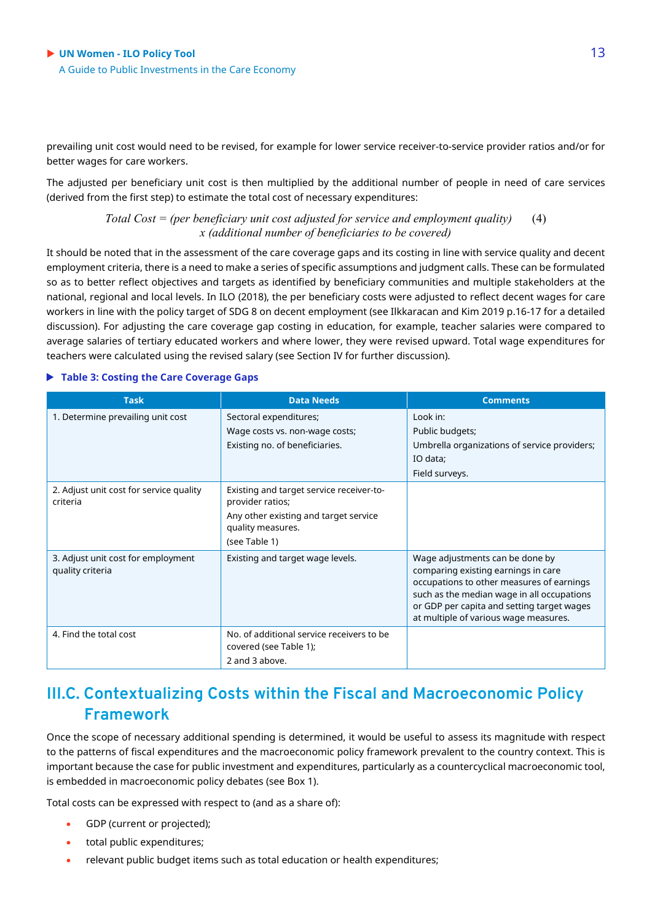prevailing unit cost would need to be revised, for example for lower service receiver-to-service provider ratios and/or for better wages for care workers.

The adjusted per beneficiary unit cost is then multiplied by the additional number of people in need of care services (derived from the first step) to estimate the total cost of necessary expenditures:

> *Total Cost = (per beneficiary unit cost adjusted for service and employment quality)* (4) *x (additional number of beneficiaries to be covered)*

It should be noted that in the assessment of the care coverage gaps and its costing in line with service quality and decent employment criteria, there is a need to make a series of specific assumptions and judgment calls. These can be formulated so as to better reflect objectives and targets as identified by beneficiary communities and multiple stakeholders at the national, regional and local levels. In ILO (2018), the per beneficiary costs were adjusted to reflect decent wages for care workers in line with the policy target of SDG 8 on decent employment (see Ilkkaracan and Kim 2019 p.16-17 for a detailed discussion). For adjusting the care coverage gap costing in education, for example, teacher salaries were compared to average salaries of tertiary educated workers and where lower, they were revised upward. Total wage expenditures for teachers were calculated using the revised salary (see Section IV for further discussion).

#### **Table 3: Costing the Care Coverage Gaps**

| <b>Task</b>                                            | <b>Data Needs</b>                                                                                                                           | <b>Comments</b>                                                                                                                                                                                                                                          |
|--------------------------------------------------------|---------------------------------------------------------------------------------------------------------------------------------------------|----------------------------------------------------------------------------------------------------------------------------------------------------------------------------------------------------------------------------------------------------------|
| 1. Determine prevailing unit cost                      | Sectoral expenditures;<br>Wage costs vs. non-wage costs;<br>Existing no. of beneficiaries.                                                  | Look in:<br>Public budgets;<br>Umbrella organizations of service providers;<br>IO data;<br>Field surveys.                                                                                                                                                |
| 2. Adjust unit cost for service quality<br>criteria    | Existing and target service receiver-to-<br>provider ratios;<br>Any other existing and target service<br>quality measures.<br>(see Table 1) |                                                                                                                                                                                                                                                          |
| 3. Adjust unit cost for employment<br>quality criteria | Existing and target wage levels.                                                                                                            | Wage adjustments can be done by<br>comparing existing earnings in care<br>occupations to other measures of earnings<br>such as the median wage in all occupations<br>or GDP per capita and setting target wages<br>at multiple of various wage measures. |
| 4. Find the total cost                                 | No. of additional service receivers to be<br>covered (see Table 1);<br>2 and 3 above.                                                       |                                                                                                                                                                                                                                                          |

### **III.C. Contextualizing Costs within the Fiscal and Macroeconomic Policy Framework**

Once the scope of necessary additional spending is determined, it would be useful to assess its magnitude with respect to the patterns of fiscal expenditures and the macroeconomic policy framework prevalent to the country context. This is important because the case for public investment and expenditures, particularly as a countercyclical macroeconomic tool, is embedded in macroeconomic policy debates (see Box 1).

Total costs can be expressed with respect to (and as a share of):

- GDP (current or projected);
- total public expenditures;
- relevant public budget items such as total education or health expenditures;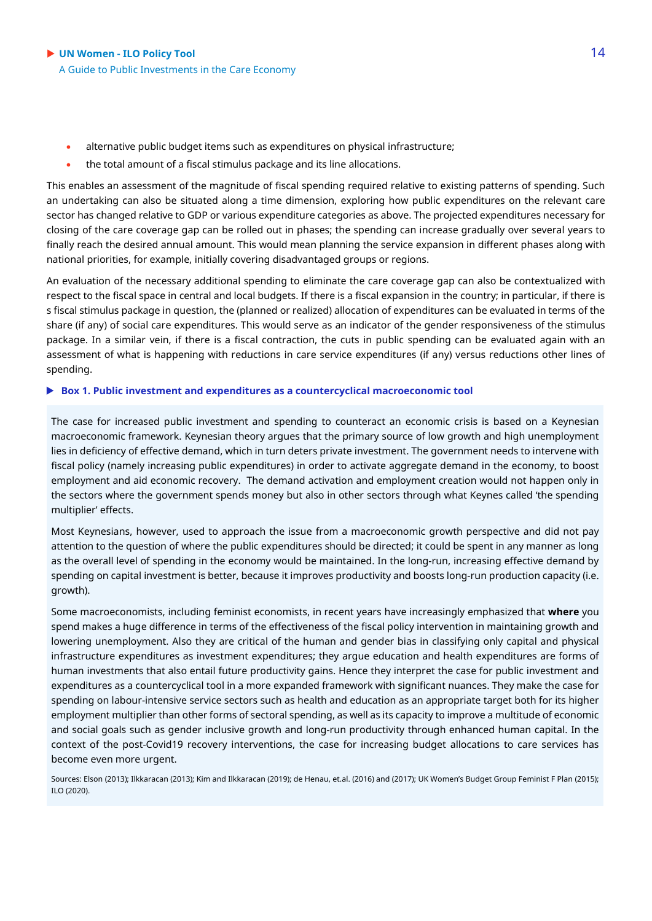- alternative public budget items such as expenditures on physical infrastructure;
- the total amount of a fiscal stimulus package and its line allocations.

This enables an assessment of the magnitude of fiscal spending required relative to existing patterns of spending. Such an undertaking can also be situated along a time dimension, exploring how public expenditures on the relevant care sector has changed relative to GDP or various expenditure categories as above. The projected expenditures necessary for closing of the care coverage gap can be rolled out in phases; the spending can increase gradually over several years to finally reach the desired annual amount. This would mean planning the service expansion in different phases along with national priorities, for example, initially covering disadvantaged groups or regions.

An evaluation of the necessary additional spending to eliminate the care coverage gap can also be contextualized with respect to the fiscal space in central and local budgets. If there is a fiscal expansion in the country; in particular, if there is s fiscal stimulus package in question, the (planned or realized) allocation of expenditures can be evaluated in terms of the share (if any) of social care expenditures. This would serve as an indicator of the gender responsiveness of the stimulus package. In a similar vein, if there is a fiscal contraction, the cuts in public spending can be evaluated again with an assessment of what is happening with reductions in care service expenditures (if any) versus reductions other lines of spending.

#### **Box 1. Public investment and expenditures as a countercyclical macroeconomic tool**

The case for increased public investment and spending to counteract an economic crisis is based on a Keynesian macroeconomic framework. Keynesian theory argues that the primary source of low growth and high unemployment lies in deficiency of effective demand, which in turn deters private investment. The government needs to intervene with fiscal policy (namely increasing public expenditures) in order to activate aggregate demand in the economy, to boost employment and aid economic recovery. The demand activation and employment creation would not happen only in the sectors where the government spends money but also in other sectors through what Keynes called 'the spending multiplier' effects.

Most Keynesians, however, used to approach the issue from a macroeconomic growth perspective and did not pay attention to the question of where the public expenditures should be directed; it could be spent in any manner as long as the overall level of spending in the economy would be maintained. In the long-run, increasing effective demand by spending on capital investment is better, because it improves productivity and boosts long-run production capacity (i.e. growth).

Some macroeconomists, including feminist economists, in recent years have increasingly emphasized that **where** you spend makes a huge difference in terms of the effectiveness of the fiscal policy intervention in maintaining growth and lowering unemployment. Also they are critical of the human and gender bias in classifying only capital and physical infrastructure expenditures as investment expenditures; they argue education and health expenditures are forms of human investments that also entail future productivity gains. Hence they interpret the case for public investment and expenditures as a countercyclical tool in a more expanded framework with significant nuances. They make the case for spending on labour-intensive service sectors such as health and education as an appropriate target both for its higher employment multiplier than other forms of sectoral spending, as well as its capacity to improve a multitude of economic and social goals such as gender inclusive growth and long-run productivity through enhanced human capital. In the context of the post-Covid19 recovery interventions, the case for increasing budget allocations to care services has become even more urgent.

Sources: Elson (2013); Ilkkaracan (2013); Kim and Ilkkaracan (2019); de Henau, et.al. (2016) and (2017); UK Women's Budget Group Feminist F Plan (2015);  $I$ ILO (2020).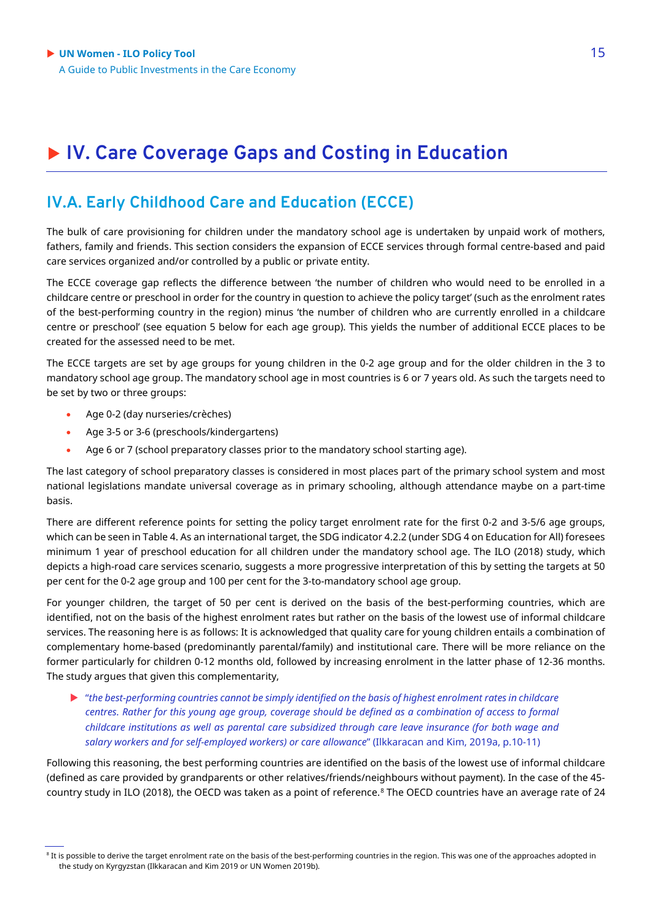## **IV. Care Coverage Gaps and Costing in Education**

### **IV.A. Early Childhood Care and Education (ECCE)**

The bulk of care provisioning for children under the mandatory school age is undertaken by unpaid work of mothers, fathers, family and friends. This section considers the expansion of ECCE services through formal centre-based and paid care services organized and/or controlled by a public or private entity.

The ECCE coverage gap reflects the difference between 'the number of children who would need to be enrolled in a childcare centre or preschool in order for the country in question to achieve the policy target' (such as the enrolment rates of the best-performing country in the region) minus 'the number of children who are currently enrolled in a childcare centre or preschool' (see equation 5 below for each age group). This yields the number of additional ECCE places to be created for the assessed need to be met.

The ECCE targets are set by age groups for young children in the 0-2 age group and for the older children in the 3 to mandatory school age group. The mandatory school age in most countries is 6 or 7 years old. As such the targets need to be set by two or three groups:

- Age 0-2 (day nurseries/crèches)
- Age 3-5 or 3-6 (preschools/kindergartens)
- Age 6 or 7 (school preparatory classes prior to the mandatory school starting age).

The last category of school preparatory classes is considered in most places part of the primary school system and most national legislations mandate universal coverage as in primary schooling, although attendance maybe on a part-time basis.

There are different reference points for setting the policy target enrolment rate for the first 0-2 and 3-5/6 age groups, which can be seen in Table 4. As an international target, the SDG indicator 4.2.2 (under SDG 4 on Education for All) foresees minimum 1 year of preschool education for all children under the mandatory school age. The ILO (2018) study, which depicts a high-road care services scenario, suggests a more progressive interpretation of this by setting the targets at 50 per cent for the 0-2 age group and 100 per cent for the 3-to-mandatory school age group.

For younger children, the target of 50 per cent is derived on the basis of the best-performing countries, which are identified, not on the basis of the highest enrolment rates but rather on the basis of the lowest use of informal childcare services. The reasoning here is as follows: It is acknowledged that quality care for young children entails a combination of complementary home-based (predominantly parental/family) and institutional care. There will be more reliance on the former particularly for children 0-12 months old, followed by increasing enrolment in the latter phase of 12-36 months. The study argues that given this complementarity,

 "*the best-performing countries cannot be simply identified on the basis of highest enrolment rates in childcare centres. Rather for this young age group, coverage should be defined as a combination of access to formal childcare institutions as well as parental care subsidized through care leave insurance (for both wage and salary workers and for self-employed workers) or care allowance*" (Ilkkaracan and Kim, 2019a, p.10-11)

Following this reasoning, the best performing countries are identified on the basis of the lowest use of informal childcare (defined as care provided by grandparents or other relatives/friends/neighbours without payment). In the case of the 45 country study in ILO (2018), the OECD was taken as a point of reference.[8](#page-14-0) The OECD countries have an average rate of 24

<span id="page-14-0"></span><sup>&</sup>lt;sup>8</sup> It is possible to derive the target enrolment rate on the basis of the best-performing countries in the region. This was one of the approaches adopted in the study on Kyrgyzstan (Ilkkaracan and Kim 2019 or UN Women 2019b).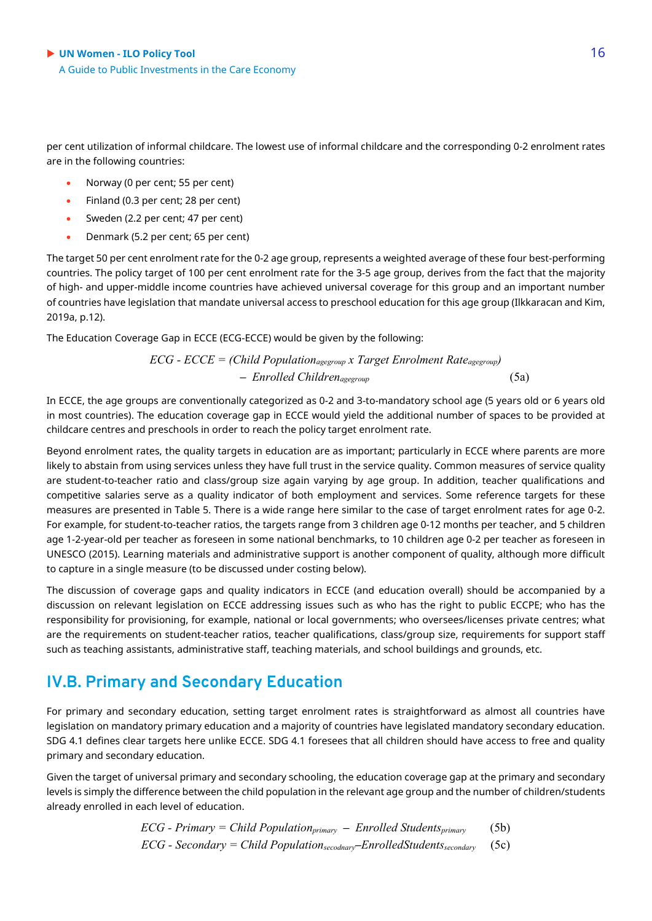per cent utilization of informal childcare. The lowest use of informal childcare and the corresponding 0-2 enrolment rates are in the following countries:

- Norway (0 per cent; 55 per cent)
- Finland (0.3 per cent; 28 per cent)
- Sweden (2.2 per cent; 47 per cent)
- Denmark (5.2 per cent; 65 per cent)

The target 50 per cent enrolment rate for the 0-2 age group, represents a weighted average of these four best-performing countries. The policy target of 100 per cent enrolment rate for the 3-5 age group, derives from the fact that the majority of high- and upper-middle income countries have achieved universal coverage for this group and an important number of countries have legislation that mandate universal access to preschool education for this age group (Ilkkaracan and Kim, 2019a, p.12).

The Education Coverage Gap in ECCE (ECG-ECCE) would be given by the following:

$$
ECG - ECCE = (Child Population_{agegroup} x Target Enrolment Rate_{agegroup})
$$
  
- Enrolled Children<sub>agegroup</sub> (5a)

In ECCE, the age groups are conventionally categorized as 0-2 and 3-to-mandatory school age (5 years old or 6 years old in most countries). The education coverage gap in ECCE would yield the additional number of spaces to be provided at childcare centres and preschools in order to reach the policy target enrolment rate.

Beyond enrolment rates, the quality targets in education are as important; particularly in ECCE where parents are more likely to abstain from using services unless they have full trust in the service quality. Common measures of service quality are student-to-teacher ratio and class/group size again varying by age group. In addition, teacher qualifications and competitive salaries serve as a quality indicator of both employment and services. Some reference targets for these measures are presented in Table 5. There is a wide range here similar to the case of target enrolment rates for age 0-2. For example, for student-to-teacher ratios, the targets range from 3 children age 0-12 months per teacher, and 5 children age 1-2-year-old per teacher as foreseen in some national benchmarks, to 10 children age 0-2 per teacher as foreseen in UNESCO (2015). Learning materials and administrative support is another component of quality, although more difficult to capture in a single measure (to be discussed under costing below).

The discussion of coverage gaps and quality indicators in ECCE (and education overall) should be accompanied by a discussion on relevant legislation on ECCE addressing issues such as who has the right to public ECCPE; who has the responsibility for provisioning, for example, national or local governments; who oversees/licenses private centres; what are the requirements on student-teacher ratios, teacher qualifications, class/group size, requirements for support staff such as teaching assistants, administrative staff, teaching materials, and school buildings and grounds, etc.

### **IV.B. Primary and Secondary Education**

For primary and secondary education, setting target enrolment rates is straightforward as almost all countries have legislation on mandatory primary education and a majority of countries have legislated mandatory secondary education. SDG 4.1 defines clear targets here unlike ECCE. SDG 4.1 foresees that all children should have access to free and quality primary and secondary education.

Given the target of universal primary and secondary schooling, the education coverage gap at the primary and secondary levels is simply the difference between the child population in the relevant age group and the number of children/students already enrolled in each level of education.

$$
ECG - Primary = Child Populationprimary - Enrolled Studentsprimary
$$
 (5b)  
ECG - Secondary = Child Population<sub>secondary</sub>-EnrolledStudents<sub>secondary</sub> (5c)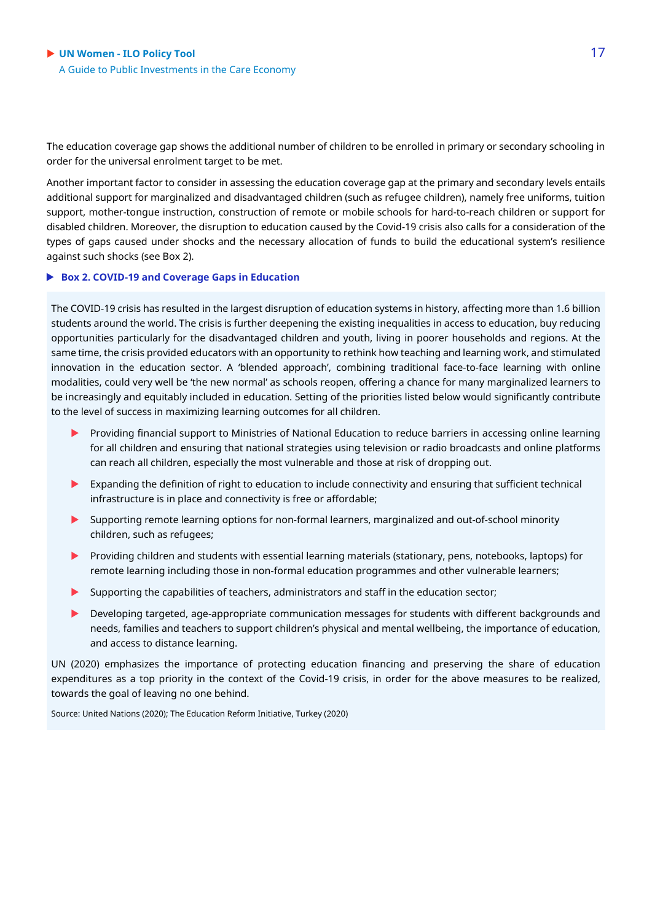The education coverage gap shows the additional number of children to be enrolled in primary or secondary schooling in order for the universal enrolment target to be met.

Another important factor to consider in assessing the education coverage gap at the primary and secondary levels entails additional support for marginalized and disadvantaged children (such as refugee children), namely free uniforms, tuition support, mother-tongue instruction, construction of remote or mobile schools for hard-to-reach children or support for disabled children. Moreover, the disruption to education caused by the Covid-19 crisis also calls for a consideration of the types of gaps caused under shocks and the necessary allocation of funds to build the educational system's resilience against such shocks (see Box 2).

#### **Box 2. COVID-19 and Coverage Gaps in Education**

The COVID-19 crisis has resulted in the largest disruption of education systems in history, affecting more than 1.6 billion students around the world. The crisis is further deepening the existing inequalities in access to education, buy reducing opportunities particularly for the disadvantaged children and youth, living in poorer households and regions. At the same time, the crisis provided educators with an opportunity to rethink how teaching and learning work, and stimulated innovation in the education sector. A 'blended approach', combining traditional face-to-face learning with online modalities, could very well be 'the new normal' as schools reopen, offering a chance for many marginalized learners to be increasingly and equitably included in education. Setting of the priorities listed below would significantly contribute to the level of success in maximizing learning outcomes for all children.

- **Providing financial support to Ministries of National Education to reduce barriers in accessing online learning** for all children and ensuring that national strategies using television or radio broadcasts and online platforms can reach all children, especially the most vulnerable and those at risk of dropping out.
- Expanding the definition of right to education to include connectivity and ensuring that sufficient technical infrastructure is in place and connectivity is free or affordable;
- Supporting remote learning options for non-formal learners, marginalized and out-of-school minority children, such as refugees;
- Providing children and students with essential learning materials (stationary, pens, notebooks, laptops) for remote learning including those in non-formal education programmes and other vulnerable learners;
- Supporting the capabilities of teachers, administrators and staff in the education sector;
- Developing targeted, age-appropriate communication messages for students with different backgrounds and needs, families and teachers to support children's physical and mental wellbeing, the importance of education, and access to distance learning.

UN (2020) emphasizes the importance of protecting education financing and preserving the share of education expenditures as a top priority in the context of the Covid-19 crisis, in order for the above measures to be realized, towards the goal of leaving no one behind.

Source: United Nations (2020); The Education Reform Initiative, Turkey (2020)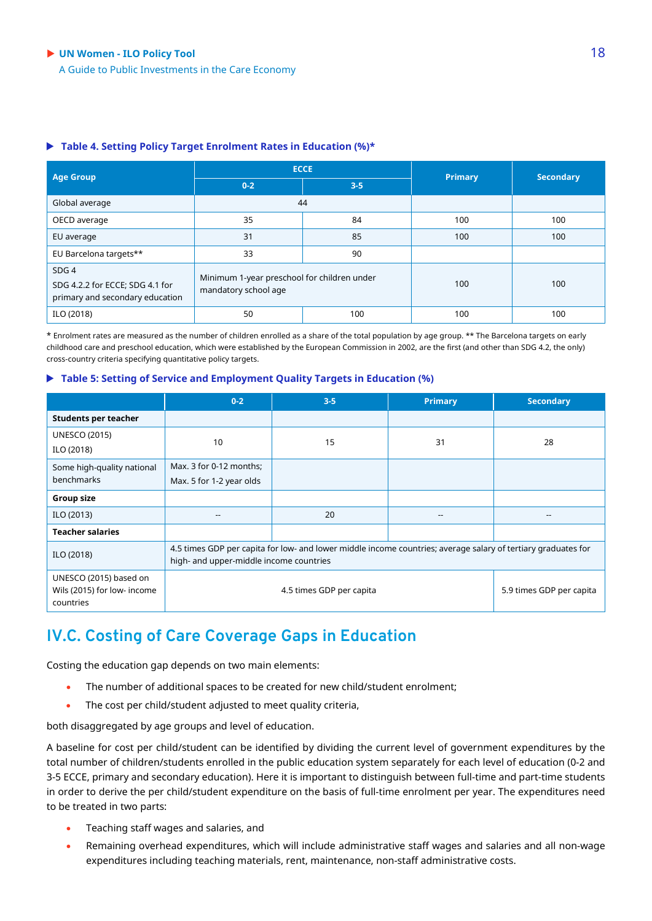#### ◆ UN Women - **ILO Policy Tool** 18

A Guide to Public Investments in the Care Economy

#### **Table 4. Setting Policy Target Enrolment Rates in Education (%)\***

| <b>Age Group</b>                                                                       |                                                                     | <b>ECCE</b> | <b>Primary</b> | <b>Secondary</b> |
|----------------------------------------------------------------------------------------|---------------------------------------------------------------------|-------------|----------------|------------------|
|                                                                                        | $0-2$                                                               | $3 - 5$     |                |                  |
| Global average                                                                         | 44                                                                  |             |                |                  |
| OECD average                                                                           | 35                                                                  | 84          | 100            | 100              |
| EU average                                                                             | 31                                                                  | 85          | 100            | 100              |
| EU Barcelona targets**                                                                 | 33                                                                  | 90          |                |                  |
| SDG <sub>4</sub><br>SDG 4.2.2 for ECCE; SDG 4.1 for<br>primary and secondary education | Minimum 1-year preschool for children under<br>mandatory school age |             | 100            | 100              |
| ILO (2018)                                                                             | 50                                                                  | 100         | 100            | 100              |

\* Enrolment rates are measured as the number of children enrolled as a share of the total population by age group. \*\* The Barcelona targets on early childhood care and preschool education, which were established by the European Commission in 2002, are the first (and other than SDG 4.2, the only) cross-country criteria specifying quantitative policy targets.

#### **Table 5: Setting of Service and Employment Quality Targets in Education (%)**

|                                                                    | $0 - 2$                                                                                                                                                  | $3 - 5$ | <b>Primary</b> | <b>Secondary</b>         |
|--------------------------------------------------------------------|----------------------------------------------------------------------------------------------------------------------------------------------------------|---------|----------------|--------------------------|
| <b>Students per teacher</b>                                        |                                                                                                                                                          |         |                |                          |
| <b>UNESCO (2015)</b><br>ILO (2018)                                 | 10                                                                                                                                                       | 15      | 31             | 28                       |
| Some high-quality national<br>benchmarks                           | Max. 3 for 0-12 months;<br>Max. 5 for 1-2 year olds                                                                                                      |         |                |                          |
| <b>Group size</b>                                                  |                                                                                                                                                          |         |                |                          |
| ILO (2013)                                                         | $- -$                                                                                                                                                    | 20      | $-$            | $- -$                    |
| <b>Teacher salaries</b>                                            |                                                                                                                                                          |         |                |                          |
| ILO (2018)                                                         | 4.5 times GDP per capita for low- and lower middle income countries; average salary of tertiary graduates for<br>high- and upper-middle income countries |         |                |                          |
| UNESCO (2015) based on<br>Wils (2015) for low- income<br>countries | 4.5 times GDP per capita                                                                                                                                 |         |                | 5.9 times GDP per capita |

### **IV.C. Costing of Care Coverage Gaps in Education**

Costing the education gap depends on two main elements:

- The number of additional spaces to be created for new child/student enrolment;
- The cost per child/student adjusted to meet quality criteria,

both disaggregated by age groups and level of education.

A baseline for cost per child/student can be identified by dividing the current level of government expenditures by the total number of children/students enrolled in the public education system separately for each level of education (0-2 and 3-5 ECCE, primary and secondary education). Here it is important to distinguish between full-time and part-time students in order to derive the per child/student expenditure on the basis of full-time enrolment per year. The expenditures need to be treated in two parts:

- Teaching staff wages and salaries, and
- Remaining overhead expenditures, which will include administrative staff wages and salaries and all non-wage expenditures including teaching materials, rent, maintenance, non-staff administrative costs.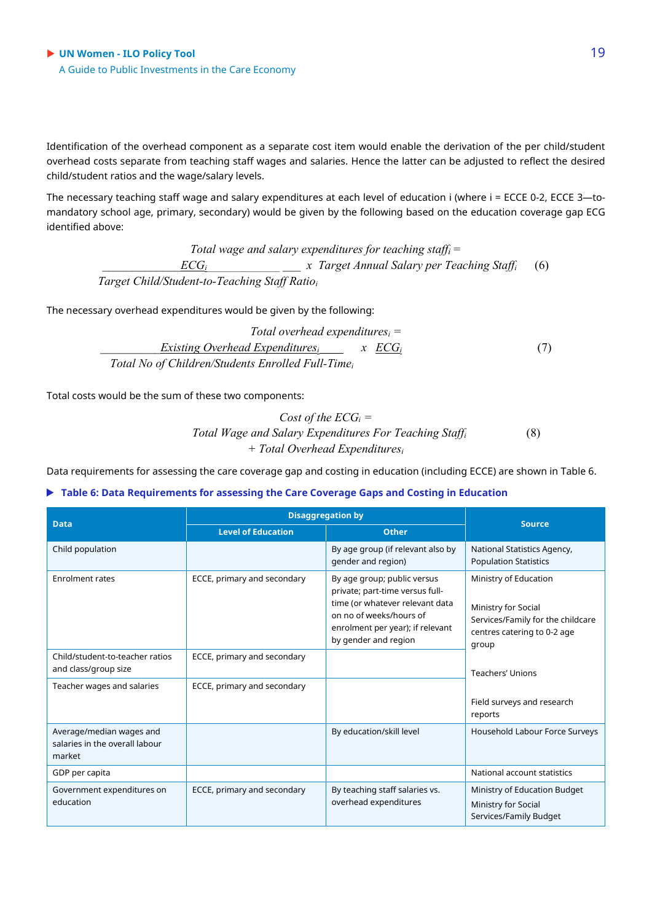◆ UN Women - **ILO Policy Tool** 19 A Guide to Public Investments in the Care Economy

Identification of the overhead component as a separate cost item would enable the derivation of the per child/student overhead costs separate from teaching staff wages and salaries. Hence the latter can be adjusted to reflect the desired child/student ratios and the wage/salary levels.

The necessary teaching staff wage and salary expenditures at each level of education i (where i = ECCE 0-2, ECCE 3—tomandatory school age, primary, secondary) would be given by the following based on the education coverage gap ECG identified above:

*Total wage and salary expenditures for teaching staffi = \_\_\_\_\_\_\_\_\_\_\_\_\_ECGi\_\_\_\_\_\_\_\_\_\_\_\_\_\_\_\_\_\_\_ \_\_\_ x Target Annual Salary per Teaching Staffi* (6)  *Target Child/Student-to-Teaching Staff Ratioi*

The necessary overhead expenditures would be given by the following:

*Total overhead expendituresi = Existing Overhead Expendituresi x ECG<sub>i</sub> (7)* (7)  *Total No of Children/Students Enrolled Full-Timei*

Total costs would be the sum of these two components:

*Cost of the ECGi = Total Wage and Salary Expenditures For Teaching Staffi* (8) *+ Total Overhead Expendituresi*

Data requirements for assessing the care coverage gap and costing in education (including ECCE) are shown in Table 6.

#### **Table 6: Data Requirements for assessing the Care Coverage Gaps and Costing in Education**

| <b>Data</b>                                                          | <b>Disaggregation by</b>    | <b>Source</b>                                                                                                                                                                            |                                                                                                                           |
|----------------------------------------------------------------------|-----------------------------|------------------------------------------------------------------------------------------------------------------------------------------------------------------------------------------|---------------------------------------------------------------------------------------------------------------------------|
|                                                                      | <b>Level of Education</b>   | <b>Other</b>                                                                                                                                                                             |                                                                                                                           |
| Child population                                                     |                             | By age group (if relevant also by<br>gender and region)                                                                                                                                  | National Statistics Agency,<br><b>Population Statistics</b>                                                               |
| Enrolment rates                                                      | ECCE, primary and secondary | By age group; public versus<br>private; part-time versus full-<br>time (or whatever relevant data<br>on no of weeks/hours of<br>enrolment per year); if relevant<br>by gender and region | Ministry of Education<br>Ministry for Social<br>Services/Family for the childcare<br>centres catering to 0-2 age<br>group |
| Child/student-to-teacher ratios<br>and class/group size              | ECCE, primary and secondary |                                                                                                                                                                                          | Teachers' Unions                                                                                                          |
| Teacher wages and salaries                                           | ECCE, primary and secondary |                                                                                                                                                                                          | Field surveys and research<br>reports                                                                                     |
| Average/median wages and<br>salaries in the overall labour<br>market |                             | By education/skill level                                                                                                                                                                 | Household Labour Force Surveys                                                                                            |
| GDP per capita                                                       |                             |                                                                                                                                                                                          | National account statistics                                                                                               |
| Government expenditures on<br>education                              | ECCE, primary and secondary | By teaching staff salaries vs.<br>overhead expenditures                                                                                                                                  | Ministry of Education Budget<br>Ministry for Social<br>Services/Family Budget                                             |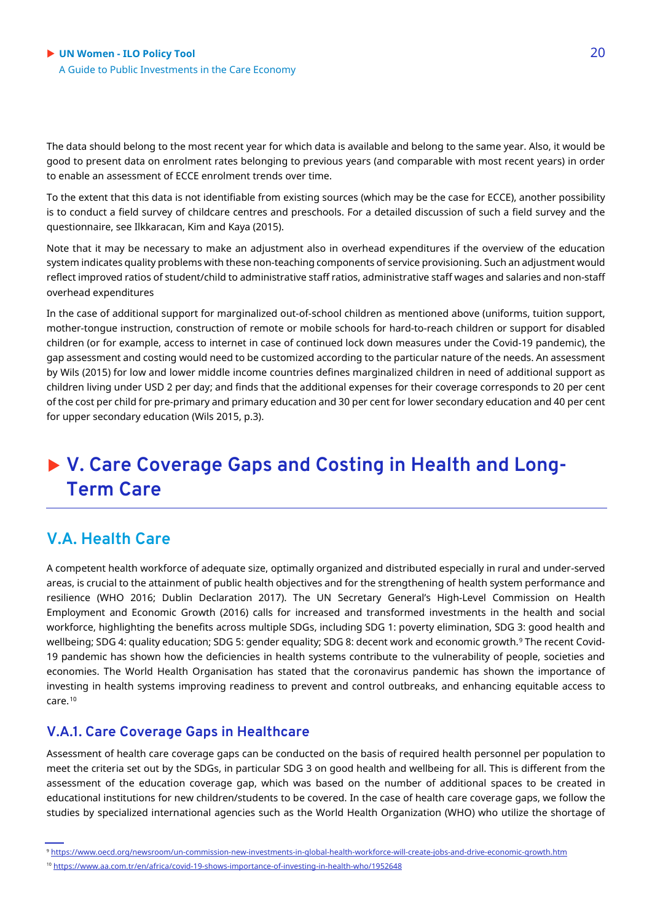The data should belong to the most recent year for which data is available and belong to the same year. Also, it would be good to present data on enrolment rates belonging to previous years (and comparable with most recent years) in order to enable an assessment of ECCE enrolment trends over time.

To the extent that this data is not identifiable from existing sources (which may be the case for ECCE), another possibility is to conduct a field survey of childcare centres and preschools. For a detailed discussion of such a field survey and the questionnaire, see Ilkkaracan, Kim and Kaya (2015).

Note that it may be necessary to make an adjustment also in overhead expenditures if the overview of the education system indicates quality problems with these non-teaching components of service provisioning. Such an adjustment would reflect improved ratios of student/child to administrative staff ratios, administrative staff wages and salaries and non-staff overhead expenditures

In the case of additional support for marginalized out-of-school children as mentioned above (uniforms, tuition support, mother-tongue instruction, construction of remote or mobile schools for hard-to-reach children or support for disabled children (or for example, access to internet in case of continued lock down measures under the Covid-19 pandemic), the gap assessment and costing would need to be customized according to the particular nature of the needs. An assessment by Wils (2015) for low and lower middle income countries defines marginalized children in need of additional support as children living under USD 2 per day; and finds that the additional expenses for their coverage corresponds to 20 per cent of the cost per child for pre-primary and primary education and 30 per cent for lower secondary education and 40 per cent for upper secondary education (Wils 2015, p.3).

### **V. Care Coverage Gaps and Costing in Health and Long-Term Care**

### **V.A. Health Care**

A competent health workforce of adequate size, optimally organized and distributed especially in rural and under-served areas, is crucial to the attainment of public health objectives and for the strengthening of health system performance and resilience (WHO 2016; Dublin Declaration 2017). The UN Secretary General's High-Level Commission on Health Employment and Economic Growth (2016) calls for increased and transformed investments in the health and social workforce, highlighting the benefits across multiple SDGs, including SDG 1: poverty elimination, SDG 3: good health and wellbeing; SDG 4: quality education; SDG 5: gender equality; SDG 8: decent work and economic growth.<sup>[9](#page-19-0)</sup> The recent Covid-19 pandemic has shown how the deficiencies in health systems contribute to the vulnerability of people, societies and economies. The World Health Organisation has stated that the coronavirus pandemic has shown the importance of investing in health systems improving readiness to prevent and control outbreaks, and enhancing equitable access to care.[10](#page-19-1)

#### **V.A.1. Care Coverage Gaps in Healthcare**

Assessment of health care coverage gaps can be conducted on the basis of required health personnel per population to meet the criteria set out by the SDGs, in particular SDG 3 on good health and wellbeing for all. This is different from the assessment of the education coverage gap, which was based on the number of additional spaces to be created in educational institutions for new children/students to be covered. In the case of health care coverage gaps, we follow the studies by specialized international agencies such as the World Health Organization (WHO) who utilize the shortage of

<span id="page-19-0"></span><sup>9</sup> <https://www.oecd.org/newsroom/un-commission-new-investments-in-global-health-workforce-will-create-jobs-and-drive-economic-growth.htm>

<span id="page-19-1"></span><sup>10</sup> <https://www.aa.com.tr/en/africa/covid-19-shows-importance-of-investing-in-health-who/1952648>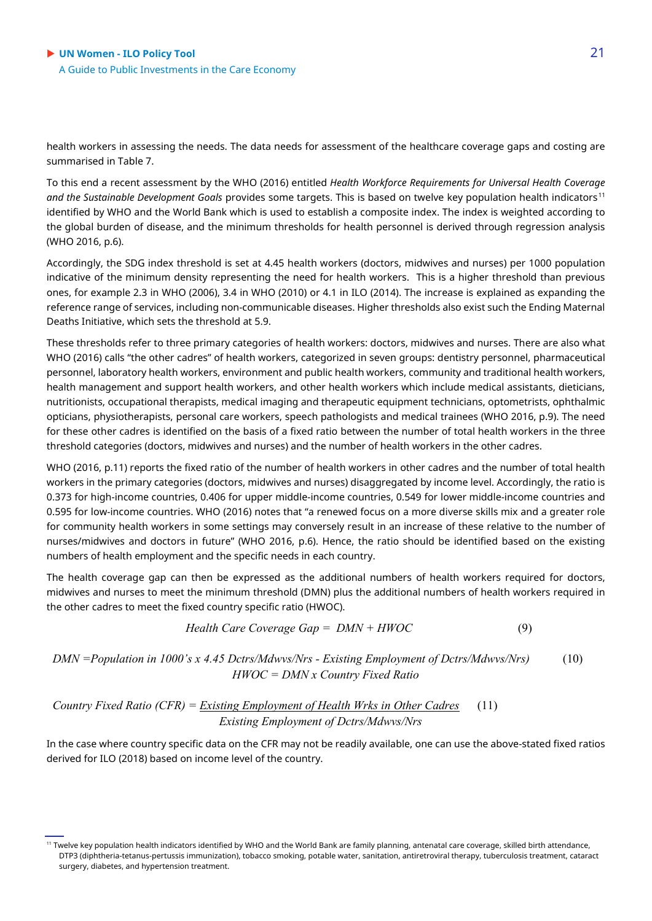health workers in assessing the needs. The data needs for assessment of the healthcare coverage gaps and costing are summarised in Table 7.

To this end a recent assessment by the WHO (2016) entitled *Health Workforce Requirements for Universal Health Coverage*  and the Sustainable Development Goals provides some targets. This is based on twelve key population health indicators<sup>[11](#page-20-0)</sup> identified by WHO and the World Bank which is used to establish a composite index. The index is weighted according to the global burden of disease, and the minimum thresholds for health personnel is derived through regression analysis (WHO 2016, p.6).

Accordingly, the SDG index threshold is set at 4.45 health workers (doctors, midwives and nurses) per 1000 population indicative of the minimum density representing the need for health workers. This is a higher threshold than previous ones, for example 2.3 in WHO (2006), 3.4 in WHO (2010) or 4.1 in ILO (2014). The increase is explained as expanding the reference range of services, including non-communicable diseases. Higher thresholds also exist such the Ending Maternal Deaths Initiative, which sets the threshold at 5.9.

These thresholds refer to three primary categories of health workers: doctors, midwives and nurses. There are also what WHO (2016) calls "the other cadres" of health workers, categorized in seven groups: dentistry personnel, pharmaceutical personnel, laboratory health workers, environment and public health workers, community and traditional health workers, health management and support health workers, and other health workers which include medical assistants, dieticians, nutritionists, occupational therapists, medical imaging and therapeutic equipment technicians, optometrists, ophthalmic opticians, physiotherapists, personal care workers, speech pathologists and medical trainees (WHO 2016, p.9). The need for these other cadres is identified on the basis of a fixed ratio between the number of total health workers in the three threshold categories (doctors, midwives and nurses) and the number of health workers in the other cadres.

WHO (2016, p.11) reports the fixed ratio of the number of health workers in other cadres and the number of total health workers in the primary categories (doctors, midwives and nurses) disaggregated by income level. Accordingly, the ratio is 0.373 for high-income countries, 0.406 for upper middle-income countries, 0.549 for lower middle-income countries and 0.595 for low-income countries. WHO (2016) notes that "a renewed focus on a more diverse skills mix and a greater role for community health workers in some settings may conversely result in an increase of these relative to the number of nurses/midwives and doctors in future" (WHO 2016, p.6). Hence, the ratio should be identified based on the existing numbers of health employment and the specific needs in each country.

The health coverage gap can then be expressed as the additional numbers of health workers required for doctors, midwives and nurses to meet the minimum threshold (DMN) plus the additional numbers of health workers required in the other cadres to meet the fixed country specific ratio (HWOC).

$$
Health Care Coverage Gap = DMN + HWOC \tag{9}
$$

*DMN =Population in 1000's x 4.45 Dctrs/Mdwvs/Nrs - Existing Employment of Dctrs/Mdwvs/Nrs)* (10) *HWOC = DMN x Country Fixed Ratio*

*Country Fixed Ratio (CFR) = Existing Employment of Health Wrks in Other Cadres* (11)  *Existing Employment of Dctrs/Mdwvs/Nrs*

In the case where country specific data on the CFR may not be readily available, one can use the above-stated fixed ratios derived for ILO (2018) based on income level of the country.

<span id="page-20-0"></span><sup>11</sup> Twelve key population health indicators identified by WHO and the World Bank are family planning, antenatal care coverage, skilled birth attendance, DTP3 (diphtheria-tetanus-pertussis immunization), tobacco smoking, potable water, sanitation, antiretroviral therapy, tuberculosis treatment, cataract surgery, diabetes, and hypertension treatment.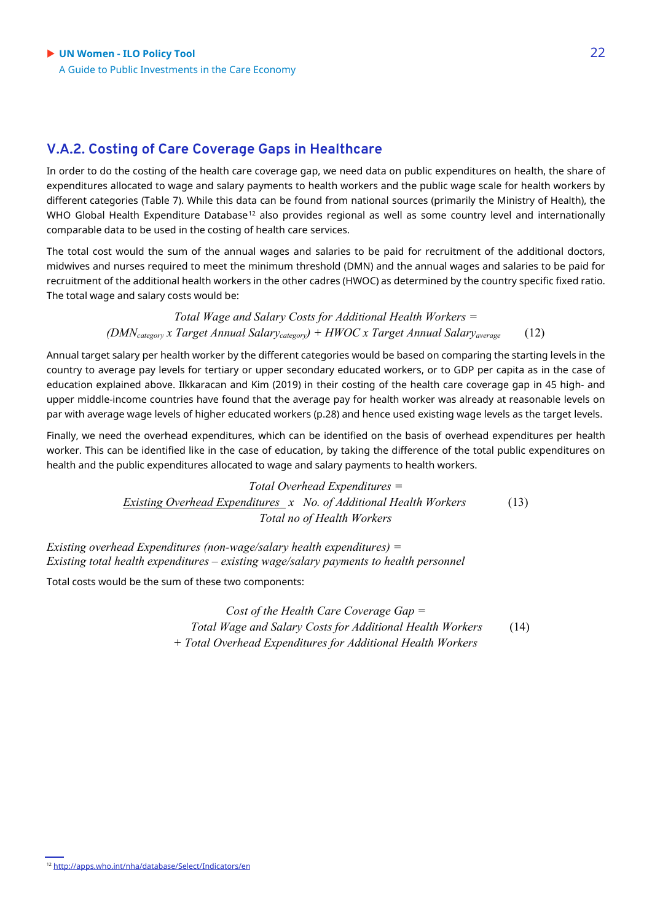### **V.A.2. Costing of Care Coverage Gaps in Healthcare**

In order to do the costing of the health care coverage gap, we need data on public expenditures on health, the share of expenditures allocated to wage and salary payments to health workers and the public wage scale for health workers by different categories (Table 7). While this data can be found from national sources (primarily the Ministry of Health), the WHO Global Health Expenditure Database<sup>[12](#page-21-0)</sup> also provides regional as well as some country level and internationally comparable data to be used in the costing of health care services.

The total cost would the sum of the annual wages and salaries to be paid for recruitment of the additional doctors, midwives and nurses required to meet the minimum threshold (DMN) and the annual wages and salaries to be paid for recruitment of the additional health workers in the other cadres (HWOC) as determined by the country specific fixed ratio. The total wage and salary costs would be:

> *Total Wage and Salary Costs for Additional Health Workers = (DMNcategory x Target Annual Salarycategory) + HWOC x Target Annual Salaryaverage* (12)

Annual target salary per health worker by the different categories would be based on comparing the starting levels in the country to average pay levels for tertiary or upper secondary educated workers, or to GDP per capita as in the case of education explained above. Ilkkaracan and Kim (2019) in their costing of the health care coverage gap in 45 high- and upper middle-income countries have found that the average pay for health worker was already at reasonable levels on par with average wage levels of higher educated workers (p.28) and hence used existing wage levels as the target levels.

Finally, we need the overhead expenditures, which can be identified on the basis of overhead expenditures per health worker. This can be identified like in the case of education, by taking the difference of the total public expenditures on health and the public expenditures allocated to wage and salary payments to health workers.

> *Total Overhead Expenditures = Existing Overhead Expenditures x No. of Additional Health Workers* (13) *Total no of Health Workers*

*Existing overhead Expenditures (non-wage/salary health expenditures) = Existing total health expenditures – existing wage/salary payments to health personnel*

Total costs would be the sum of these two components:

*Cost of the Health Care Coverage Gap = Total Wage and Salary Costs for Additional Health Workers* (14) *+ Total Overhead Expenditures for Additional Health Workers*

<span id="page-21-0"></span><sup>12</sup> <http://apps.who.int/nha/database/Select/Indicators/en>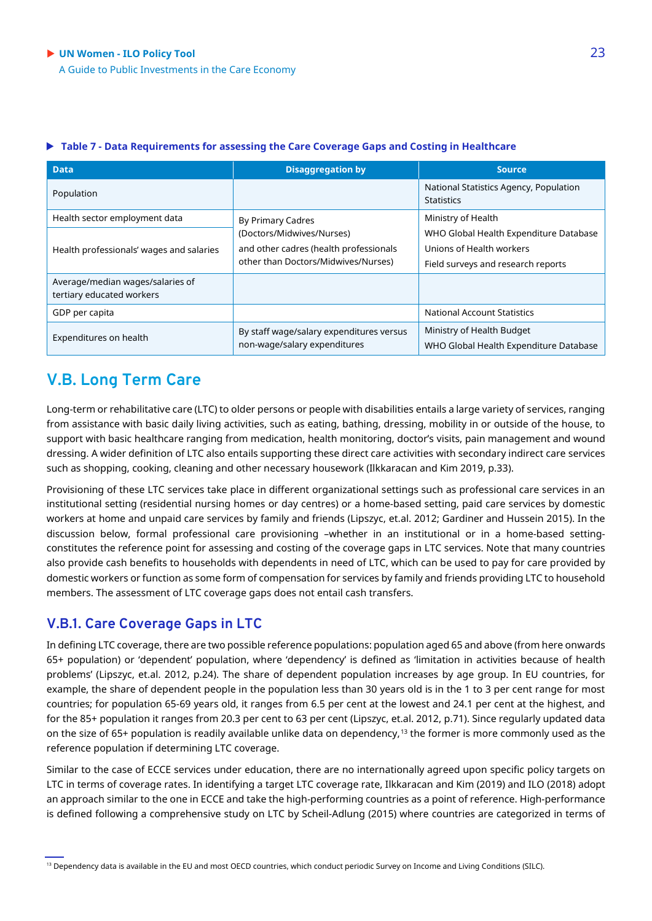| <b>Data</b>                                                   | <b>Disaggregation by</b>                                                                                   | <b>Source</b>                                                                                            |
|---------------------------------------------------------------|------------------------------------------------------------------------------------------------------------|----------------------------------------------------------------------------------------------------------|
| Population                                                    |                                                                                                            | National Statistics Agency, Population<br><b>Statistics</b>                                              |
| Health sector employment data                                 | By Primary Cadres                                                                                          | Ministry of Health                                                                                       |
| Health professionals' wages and salaries                      | (Doctors/Midwives/Nurses)<br>and other cadres (health professionals<br>other than Doctors/Midwives/Nurses) | WHO Global Health Expenditure Database<br>Unions of Health workers<br>Field surveys and research reports |
| Average/median wages/salaries of<br>tertiary educated workers |                                                                                                            |                                                                                                          |
| GDP per capita                                                |                                                                                                            | <b>National Account Statistics</b>                                                                       |
| Expenditures on health                                        | By staff wage/salary expenditures versus<br>non-wage/salary expenditures                                   | Ministry of Health Budget<br>WHO Global Health Expenditure Database                                      |

#### **Table 7 - Data Requirements for assessing the Care Coverage Gaps and Costing in Healthcare**

### **V.B. Long Term Care**

Long-term or rehabilitative care (LTC) to older persons or people with disabilities entails a large variety of services, ranging from assistance with basic daily living activities, such as eating, bathing, dressing, mobility in or outside of the house, to support with basic healthcare ranging from medication, health monitoring, doctor's visits, pain management and wound dressing. A wider definition of LTC also entails supporting these direct care activities with secondary indirect care services such as shopping, cooking, cleaning and other necessary housework (Ilkkaracan and Kim 2019, p.33).

Provisioning of these LTC services take place in different organizational settings such as professional care services in an institutional setting (residential nursing homes or day centres) or a home-based setting, paid care services by domestic workers at home and unpaid care services by family and friends (Lipszyc, et.al. 2012; Gardiner and Hussein 2015). In the discussion below, formal professional care provisioning –whether in an institutional or in a home-based settingconstitutes the reference point for assessing and costing of the coverage gaps in LTC services. Note that many countries also provide cash benefits to households with dependents in need of LTC, which can be used to pay for care provided by domestic workers or function as some form of compensation for services by family and friends providing LTC to household members. The assessment of LTC coverage gaps does not entail cash transfers.

### **V.B.1. Care Coverage Gaps in LTC**

In defining LTC coverage, there are two possible reference populations: population aged 65 and above (from here onwards 65+ population) or 'dependent' population, where 'dependency' is defined as 'limitation in activities because of health problems' (Lipszyc, et.al. 2012, p.24). The share of dependent population increases by age group. In EU countries, for example, the share of dependent people in the population less than 30 years old is in the 1 to 3 per cent range for most countries; for population 65-69 years old, it ranges from 6.5 per cent at the lowest and 24.1 per cent at the highest, and for the 85+ population it ranges from 20.3 per cent to 63 per cent (Lipszyc, et.al. 2012, p.71). Since regularly updated data on the size of 65+ population is readily available unlike data on dependency,<sup>[13](#page-22-0)</sup> the former is more commonly used as the reference population if determining LTC coverage.

<span id="page-22-0"></span>Similar to the case of ECCE services under education, there are no internationally agreed upon specific policy targets on LTC in terms of coverage rates. In identifying a target LTC coverage rate, Ilkkaracan and Kim (2019) and ILO (2018) adopt an approach similar to the one in ECCE and take the high-performing countries as a point of reference. High-performance is defined following a comprehensive study on LTC by Scheil-Adlung (2015) where countries are categorized in terms of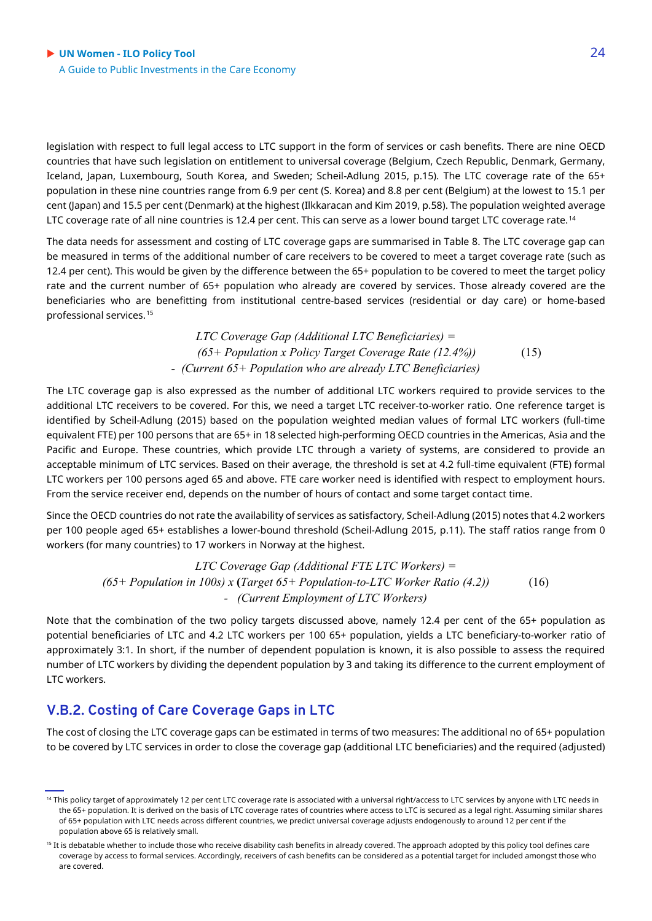legislation with respect to full legal access to LTC support in the form of services or cash benefits. There are nine OECD countries that have such legislation on entitlement to universal coverage (Belgium, Czech Republic, Denmark, Germany, Iceland, Japan, Luxembourg, South Korea, and Sweden; Scheil-Adlung 2015, p.15). The LTC coverage rate of the 65+ population in these nine countries range from 6.9 per cent (S. Korea) and 8.8 per cent (Belgium) at the lowest to 15.1 per cent (Japan) and 15.5 per cent (Denmark) at the highest (Ilkkaracan and Kim 2019, p.58). The population weighted average LTC coverage rate of all nine countries is 12.4 per cent. This can serve as a lower bound target LTC coverage rate.<sup>[14](#page-23-0)</sup>

The data needs for assessment and costing of LTC coverage gaps are summarised in Table 8. The LTC coverage gap can be measured in terms of the additional number of care receivers to be covered to meet a target coverage rate (such as 12.4 per cent). This would be given by the difference between the 65+ population to be covered to meet the target policy rate and the current number of 65+ population who already are covered by services. Those already covered are the beneficiaries who are benefitting from institutional centre-based services (residential or day care) or home-based professional services.[15](#page-23-1)

> *LTC Coverage Gap (Additional LTC Beneficiaries) = (65+ Population x Policy Target Coverage Rate (12.4%))* (15) *- (Current 65+ Population who are already LTC Beneficiaries)*

The LTC coverage gap is also expressed as the number of additional LTC workers required to provide services to the additional LTC receivers to be covered. For this, we need a target LTC receiver-to-worker ratio. One reference target is identified by Scheil-Adlung (2015) based on the population weighted median values of formal LTC workers (full-time equivalent FTE) per 100 persons that are 65+ in 18 selected high-performing OECD countries in the Americas, Asia and the Pacific and Europe. These countries, which provide LTC through a variety of systems, are considered to provide an acceptable minimum of LTC services. Based on their average, the threshold is set at 4.2 full-time equivalent (FTE) formal LTC workers per 100 persons aged 65 and above. FTE care worker need is identified with respect to employment hours. From the service receiver end, depends on the number of hours of contact and some target contact time.

Since the OECD countries do not rate the availability of services as satisfactory, Scheil-Adlung (2015) notes that 4.2 workers per 100 people aged 65+ establishes a lower-bound threshold (Scheil-Adlung 2015, p.11). The staff ratios range from 0 workers (for many countries) to 17 workers in Norway at the highest.

> *LTC Coverage Gap (Additional FTE LTC Workers) = (65+ Population in 100s) x* **(***Target 65+ Population-to-LTC Worker Ratio (4.2))* (16) *- (Current Employment of LTC Workers)*

Note that the combination of the two policy targets discussed above, namely 12.4 per cent of the 65+ population as potential beneficiaries of LTC and 4.2 LTC workers per 100 65+ population, yields a LTC beneficiary-to-worker ratio of approximately 3:1. In short, if the number of dependent population is known, it is also possible to assess the required number of LTC workers by dividing the dependent population by 3 and taking its difference to the current employment of LTC workers.

### **V.B.2. Costing of Care Coverage Gaps in LTC**

The cost of closing the LTC coverage gaps can be estimated in terms of two measures: The additional no of 65+ population to be covered by LTC services in order to close the coverage gap (additional LTC beneficiaries) and the required (adjusted)

<span id="page-23-0"></span><sup>&</sup>lt;sup>14</sup> This policy target of approximately 12 per cent LTC coverage rate is associated with a universal right/access to LTC services by anyone with LTC needs in the 65+ population. It is derived on the basis of LTC coverage rates of countries where access to LTC is secured as a legal right. Assuming similar shares of 65+ population with LTC needs across different countries, we predict universal coverage adjusts endogenously to around 12 per cent if the population above 65 is relatively small.

<span id="page-23-1"></span><sup>&</sup>lt;sup>15</sup> It is debatable whether to include those who receive disability cash benefits in already covered. The approach adopted by this policy tool defines care coverage by access to formal services. Accordingly, receivers of cash benefits can be considered as a potential target for included amongst those who are covered.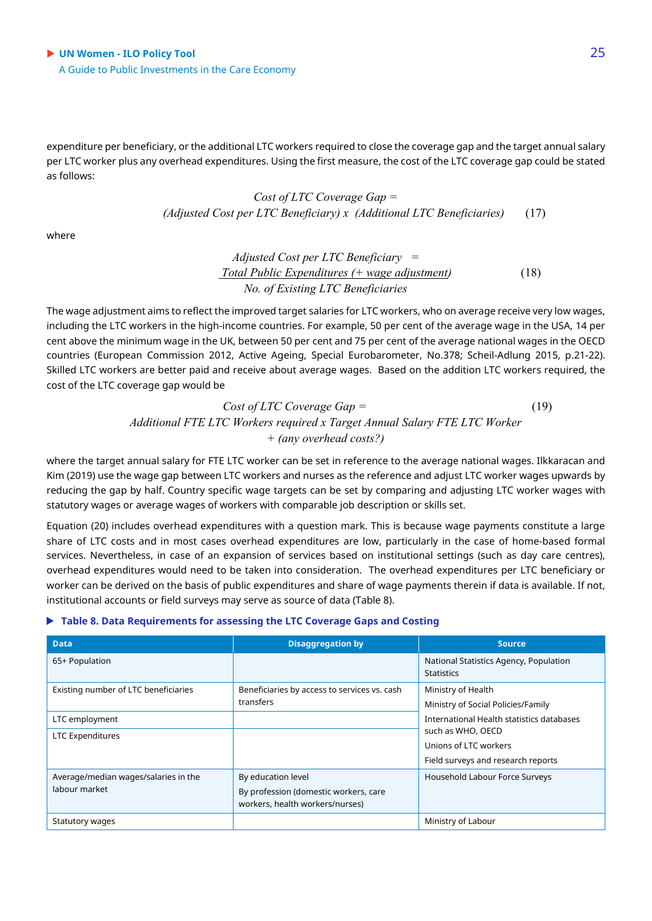expenditure per beneficiary, or the additional LTC workers required to close the coverage gap and the target annual salary per LTC worker plus any overhead expenditures. Using the first measure, the cost of the LTC coverage gap could be stated as follows:

> *Cost of LTC Coverage Gap = (Adjusted Cost per LTC Beneficiary) x (Additional LTC Beneficiaries)* (17)

where

*Adjusted Cost per LTC Beneficiary = Total Public Expenditures (+ wage adjustment)* (18) *No. of Existing LTC Beneficiaries*

The wage adjustment aims to reflect the improved target salaries for LTC workers, who on average receive very low wages, including the LTC workers in the high-income countries. For example, 50 per cent of the average wage in the USA, 14 per cent above the minimum wage in the UK, between 50 per cent and 75 per cent of the average national wages in the OECD countries (European Commission 2012, Active Ageing, Special Eurobarometer, No.378; Scheil-Adlung 2015, p.21-22). Skilled LTC workers are better paid and receive about average wages. Based on the addition LTC workers required, the cost of the LTC coverage gap would be

> *Cost of LTC Coverage Gap =* (19) *Additional FTE LTC Workers required x Target Annual Salary FTE LTC Worker + (any overhead costs?)*

where the target annual salary for FTE LTC worker can be set in reference to the average national wages. Ilkkaracan and Kim (2019) use the wage gap between LTC workers and nurses as the reference and adjust LTC worker wages upwards by reducing the gap by half. Country specific wage targets can be set by comparing and adjusting LTC worker wages with statutory wages or average wages of workers with comparable job description or skills set.

Equation (20) includes overhead expenditures with a question mark. This is because wage payments constitute a large share of LTC costs and in most cases overhead expenditures are low, particularly in the case of home-based formal services. Nevertheless, in case of an expansion of services based on institutional settings (such as day care centres), overhead expenditures would need to be taken into consideration. The overhead expenditures per LTC beneficiary or worker can be derived on the basis of public expenditures and share of wage payments therein if data is available. If not, institutional accounts or field surveys may serve as source of data (Table 8).

#### **Table 8. Data Requirements for assessing the LTC Coverage Gaps and Costing**

| <b>Data</b>                                           | <b>Disaggregation by</b>                                                                       | <b>Source</b>                                                                                                                 |
|-------------------------------------------------------|------------------------------------------------------------------------------------------------|-------------------------------------------------------------------------------------------------------------------------------|
| 65+ Population                                        |                                                                                                | National Statistics Agency, Population<br><b>Statistics</b>                                                                   |
| Existing number of LTC beneficiaries                  | Beneficiaries by access to services vs. cash<br>transfers                                      | Ministry of Health<br>Ministry of Social Policies/Family                                                                      |
| LTC employment<br>LTC Expenditures                    |                                                                                                | International Health statistics databases<br>such as WHO, OECD<br>Unions of LTC workers<br>Field surveys and research reports |
| Average/median wages/salaries in the<br>labour market | By education level<br>By profession (domestic workers, care<br>workers, health workers/nurses) | Household Labour Force Surveys                                                                                                |
| Statutory wages                                       |                                                                                                | Ministry of Labour                                                                                                            |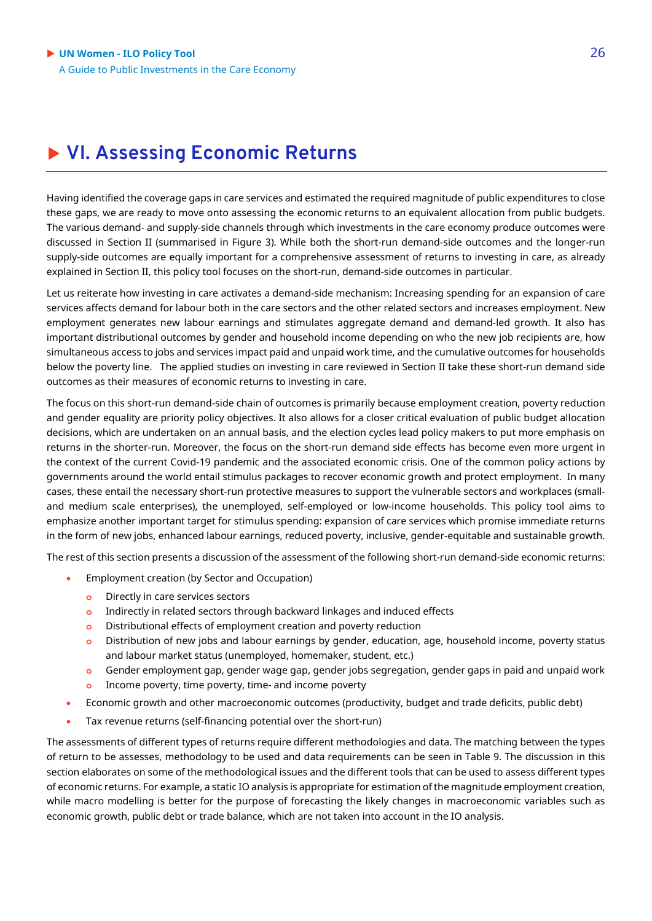## **VI. Assessing Economic Returns**

Having identified the coverage gaps in care services and estimated the required magnitude of public expenditures to close these gaps, we are ready to move onto assessing the economic returns to an equivalent allocation from public budgets. The various demand- and supply-side channels through which investments in the care economy produce outcomes were discussed in Section II (summarised in Figure 3). While both the short-run demand-side outcomes and the longer-run supply-side outcomes are equally important for a comprehensive assessment of returns to investing in care, as already explained in Section II, this policy tool focuses on the short-run, demand-side outcomes in particular.

Let us reiterate how investing in care activates a demand-side mechanism: Increasing spending for an expansion of care services affects demand for labour both in the care sectors and the other related sectors and increases employment. New employment generates new labour earnings and stimulates aggregate demand and demand-led growth. It also has important distributional outcomes by gender and household income depending on who the new job recipients are, how simultaneous access to jobs and services impact paid and unpaid work time, and the cumulative outcomes for households below the poverty line. The applied studies on investing in care reviewed in Section II take these short-run demand side outcomes as their measures of economic returns to investing in care.

The focus on this short-run demand-side chain of outcomes is primarily because employment creation, poverty reduction and gender equality are priority policy objectives. It also allows for a closer critical evaluation of public budget allocation decisions, which are undertaken on an annual basis, and the election cycles lead policy makers to put more emphasis on returns in the shorter-run. Moreover, the focus on the short-run demand side effects has become even more urgent in the context of the current Covid-19 pandemic and the associated economic crisis. One of the common policy actions by governments around the world entail stimulus packages to recover economic growth and protect employment. In many cases, these entail the necessary short-run protective measures to support the vulnerable sectors and workplaces (smalland medium scale enterprises), the unemployed, self-employed or low-income households. This policy tool aims to emphasize another important target for stimulus spending: expansion of care services which promise immediate returns in the form of new jobs, enhanced labour earnings, reduced poverty, inclusive, gender-equitable and sustainable growth.

The rest of this section presents a discussion of the assessment of the following short-run demand-side economic returns:

- Employment creation (by Sector and Occupation)
	- **o** Directly in care services sectors
	- **o** Indirectly in related sectors through backward linkages and induced effects
	- **o** Distributional effects of employment creation and poverty reduction
	- **o** Distribution of new jobs and labour earnings by gender, education, age, household income, poverty status and labour market status (unemployed, homemaker, student, etc.)
	- **o** Gender employment gap, gender wage gap, gender jobs segregation, gender gaps in paid and unpaid work
	- **o** Income poverty, time poverty, time- and income poverty
- Economic growth and other macroeconomic outcomes (productivity, budget and trade deficits, public debt)
- Tax revenue returns (self-financing potential over the short-run)

The assessments of different types of returns require different methodologies and data. The matching between the types of return to be assesses, methodology to be used and data requirements can be seen in Table 9. The discussion in this section elaborates on some of the methodological issues and the different tools that can be used to assess different types of economic returns. For example, a static IO analysis is appropriate for estimation of the magnitude employment creation, while macro modelling is better for the purpose of forecasting the likely changes in macroeconomic variables such as economic growth, public debt or trade balance, which are not taken into account in the IO analysis.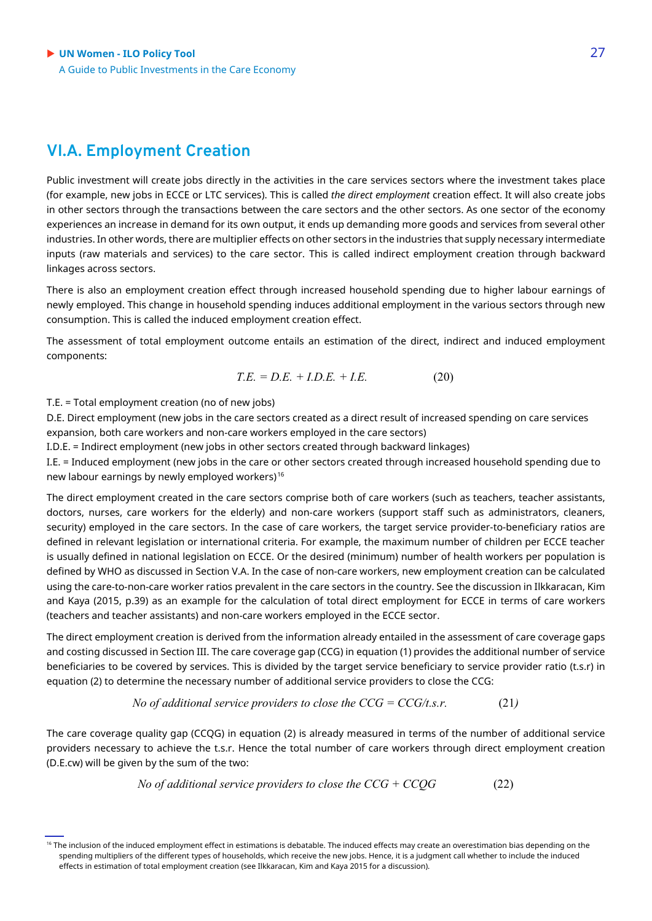### **VI.A. Employment Creation**

Public investment will create jobs directly in the activities in the care services sectors where the investment takes place (for example, new jobs in ECCE or LTC services). This is called *the direct employment* creation effect. It will also create jobs in other sectors through the transactions between the care sectors and the other sectors. As one sector of the economy experiences an increase in demand for its own output, it ends up demanding more goods and services from several other industries. In other words, there are multiplier effects on other sectors in the industries that supply necessary intermediate inputs (raw materials and services) to the care sector. This is called indirect employment creation through backward linkages across sectors.

There is also an employment creation effect through increased household spending due to higher labour earnings of newly employed. This change in household spending induces additional employment in the various sectors through new consumption. This is called the induced employment creation effect.

The assessment of total employment outcome entails an estimation of the direct, indirect and induced employment components:

$$
T.E. = D.E. + I.D.E. + I.E. \t(20)
$$

T.E. = Total employment creation (no of new jobs)

D.E. Direct employment (new jobs in the care sectors created as a direct result of increased spending on care services expansion, both care workers and non-care workers employed in the care sectors)

I.D.E. = Indirect employment (new jobs in other sectors created through backward linkages)

I.E. = Induced employment (new jobs in the care or other sectors created through increased household spending due to new labour earnings by newly employed workers)[16](#page-26-0)

The direct employment created in the care sectors comprise both of care workers (such as teachers, teacher assistants, doctors, nurses, care workers for the elderly) and non-care workers (support staff such as administrators, cleaners, security) employed in the care sectors. In the case of care workers, the target service provider-to-beneficiary ratios are defined in relevant legislation or international criteria. For example, the maximum number of children per ECCE teacher is usually defined in national legislation on ECCE. Or the desired (minimum) number of health workers per population is defined by WHO as discussed in Section V.A. In the case of non-care workers, new employment creation can be calculated using the care-to-non-care worker ratios prevalent in the care sectors in the country. See the discussion in Ilkkaracan, Kim and Kaya (2015, p.39) as an example for the calculation of total direct employment for ECCE in terms of care workers (teachers and teacher assistants) and non-care workers employed in the ECCE sector.

The direct employment creation is derived from the information already entailed in the assessment of care coverage gaps and costing discussed in Section III. The care coverage gap (CCG) in equation (1) provides the additional number of service beneficiaries to be covered by services. This is divided by the target service beneficiary to service provider ratio (t.s.r) in equation (2) to determine the necessary number of additional service providers to close the CCG:

No of additional service providers to close the 
$$
CCG = CCG/t.s.r.
$$
 (21)

The care coverage quality gap (CCQG) in equation (2) is already measured in terms of the number of additional service providers necessary to achieve the t.s.r. Hence the total number of care workers through direct employment creation (D.E.cw) will be given by the sum of the two:

No of additional service providers to close the 
$$
CCG + CCQG
$$
 (22)

<span id="page-26-0"></span><sup>&</sup>lt;sup>16</sup> The inclusion of the induced employment effect in estimations is debatable. The induced effects may create an overestimation bias depending on the spending multipliers of the different types of households, which receive the new jobs. Hence, it is a judgment call whether to include the induced effects in estimation of total employment creation (see Ilkkaracan, Kim and Kaya 2015 for a discussion).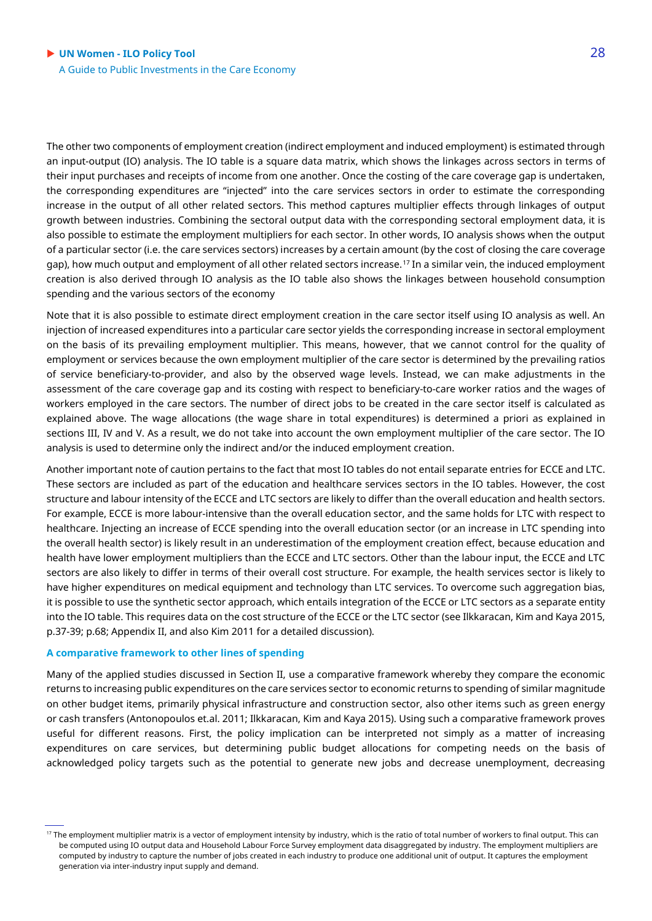The other two components of employment creation (indirect employment and induced employment) is estimated through an input-output (IO) analysis. The IO table is a square data matrix, which shows the linkages across sectors in terms of their input purchases and receipts of income from one another. Once the costing of the care coverage gap is undertaken, the corresponding expenditures are "injected" into the care services sectors in order to estimate the corresponding increase in the output of all other related sectors. This method captures multiplier effects through linkages of output growth between industries. Combining the sectoral output data with the corresponding sectoral employment data, it is also possible to estimate the employment multipliers for each sector. In other words, IO analysis shows when the output of a particular sector (i.e. the care services sectors) increases by a certain amount (by the cost of closing the care coverage gap), how much output and employment of all other related sectors increase.[17](#page-27-0) In a similar vein, the induced employment creation is also derived through IO analysis as the IO table also shows the linkages between household consumption spending and the various sectors of the economy

Note that it is also possible to estimate direct employment creation in the care sector itself using IO analysis as well. An injection of increased expenditures into a particular care sector yields the corresponding increase in sectoral employment on the basis of its prevailing employment multiplier. This means, however, that we cannot control for the quality of employment or services because the own employment multiplier of the care sector is determined by the prevailing ratios of service beneficiary-to-provider, and also by the observed wage levels. Instead, we can make adjustments in the assessment of the care coverage gap and its costing with respect to beneficiary-to-care worker ratios and the wages of workers employed in the care sectors. The number of direct jobs to be created in the care sector itself is calculated as explained above. The wage allocations (the wage share in total expenditures) is determined a priori as explained in sections III, IV and V. As a result, we do not take into account the own employment multiplier of the care sector. The IO analysis is used to determine only the indirect and/or the induced employment creation.

Another important note of caution pertains to the fact that most IO tables do not entail separate entries for ECCE and LTC. These sectors are included as part of the education and healthcare services sectors in the IO tables. However, the cost structure and labour intensity of the ECCE and LTC sectors are likely to differ than the overall education and health sectors. For example, ECCE is more labour-intensive than the overall education sector, and the same holds for LTC with respect to healthcare. Injecting an increase of ECCE spending into the overall education sector (or an increase in LTC spending into the overall health sector) is likely result in an underestimation of the employment creation effect, because education and health have lower employment multipliers than the ECCE and LTC sectors. Other than the labour input, the ECCE and LTC sectors are also likely to differ in terms of their overall cost structure. For example, the health services sector is likely to have higher expenditures on medical equipment and technology than LTC services. To overcome such aggregation bias, it is possible to use the synthetic sector approach, which entails integration of the ECCE or LTC sectors as a separate entity into the IO table. This requires data on the cost structure of the ECCE or the LTC sector (see Ilkkaracan, Kim and Kaya 2015, p.37-39; p.68; Appendix II, and also Kim 2011 for a detailed discussion).

#### **A comparative framework to other lines of spending**

Many of the applied studies discussed in Section II, use a comparative framework whereby they compare the economic returns to increasing public expenditures on the care services sector to economic returns to spending of similar magnitude on other budget items, primarily physical infrastructure and construction sector, also other items such as green energy or cash transfers (Antonopoulos et.al. 2011; Ilkkaracan, Kim and Kaya 2015). Using such a comparative framework proves useful for different reasons. First, the policy implication can be interpreted not simply as a matter of increasing expenditures on care services, but determining public budget allocations for competing needs on the basis of acknowledged policy targets such as the potential to generate new jobs and decrease unemployment, decreasing

<span id="page-27-0"></span><sup>&</sup>lt;sup>17</sup> The employment multiplier matrix is a vector of employment intensity by industry, which is the ratio of total number of workers to final output. This can be computed using IO output data and Household Labour Force Survey employment data disaggregated by industry. The employment multipliers are computed by industry to capture the number of jobs created in each industry to produce one additional unit of output. It captures the employment generation via inter-industry input supply and demand.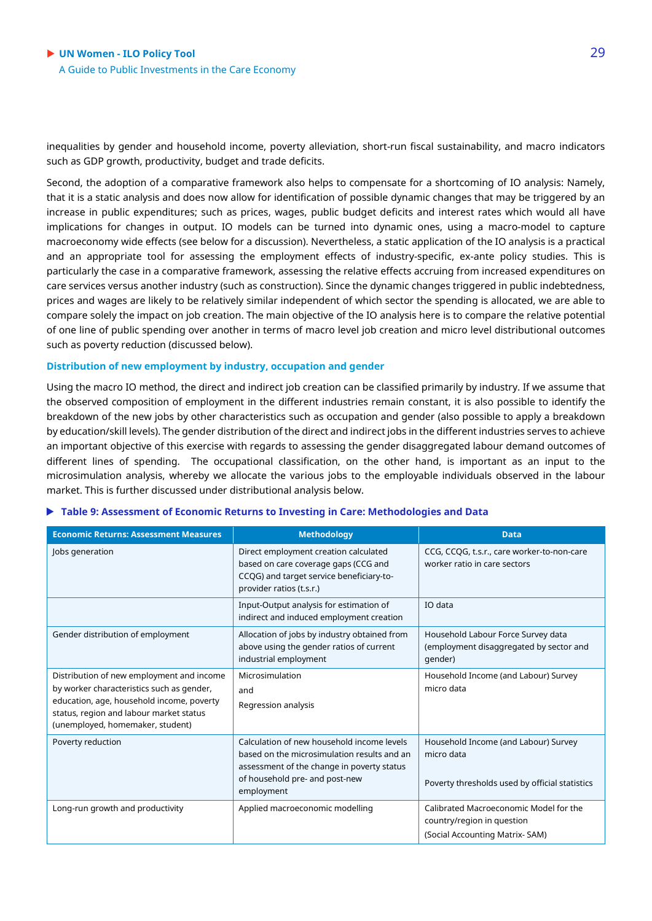inequalities by gender and household income, poverty alleviation, short-run fiscal sustainability, and macro indicators such as GDP growth, productivity, budget and trade deficits.

Second, the adoption of a comparative framework also helps to compensate for a shortcoming of IO analysis: Namely, that it is a static analysis and does now allow for identification of possible dynamic changes that may be triggered by an increase in public expenditures; such as prices, wages, public budget deficits and interest rates which would all have implications for changes in output. IO models can be turned into dynamic ones, using a macro-model to capture macroeconomy wide effects (see below for a discussion). Nevertheless, a static application of the IO analysis is a practical and an appropriate tool for assessing the employment effects of industry-specific, ex-ante policy studies. This is particularly the case in a comparative framework, assessing the relative effects accruing from increased expenditures on care services versus another industry (such as construction). Since the dynamic changes triggered in public indebtedness, prices and wages are likely to be relatively similar independent of which sector the spending is allocated, we are able to compare solely the impact on job creation. The main objective of the IO analysis here is to compare the relative potential of one line of public spending over another in terms of macro level job creation and micro level distributional outcomes such as poverty reduction (discussed below).

#### **Distribution of new employment by industry, occupation and gender**

Using the macro IO method, the direct and indirect job creation can be classified primarily by industry. If we assume that the observed composition of employment in the different industries remain constant, it is also possible to identify the breakdown of the new jobs by other characteristics such as occupation and gender (also possible to apply a breakdown by education/skill levels). The gender distribution of the direct and indirect jobs in the different industries serves to achieve an important objective of this exercise with regards to assessing the gender disaggregated labour demand outcomes of different lines of spending. The occupational classification, on the other hand, is important as an input to the microsimulation analysis, whereby we allocate the various jobs to the employable individuals observed in the labour market. This is further discussed under distributional analysis below.

|  |  | $\blacktriangleright$ Table 9: Assessment of Economic Returns to Investing in Care: Methodologies and Data |  |
|--|--|------------------------------------------------------------------------------------------------------------|--|
|  |  |                                                                                                            |  |

| <b>Economic Returns: Assessment Measures</b>                                                                                                                                                                       | <b>Methodology</b>                                                                                                                                                                      | <b>Data</b>                                                                                            |
|--------------------------------------------------------------------------------------------------------------------------------------------------------------------------------------------------------------------|-----------------------------------------------------------------------------------------------------------------------------------------------------------------------------------------|--------------------------------------------------------------------------------------------------------|
| Jobs generation                                                                                                                                                                                                    | Direct employment creation calculated<br>based on care coverage gaps (CCG and<br>CCQG) and target service beneficiary-to-<br>provider ratios (t.s.r.)                                   | CCG, CCQG, t.s.r., care worker-to-non-care<br>worker ratio in care sectors                             |
|                                                                                                                                                                                                                    | Input-Output analysis for estimation of<br>indirect and induced employment creation                                                                                                     | IO data                                                                                                |
| Gender distribution of employment                                                                                                                                                                                  | Allocation of jobs by industry obtained from<br>above using the gender ratios of current<br>industrial employment                                                                       | Household Labour Force Survey data<br>(employment disaggregated by sector and<br>qender)               |
| Distribution of new employment and income<br>by worker characteristics such as gender,<br>education, age, household income, poverty<br>status, region and labour market status<br>(unemployed, homemaker, student) | Microsimulation<br>and<br>Regression analysis                                                                                                                                           | Household Income (and Labour) Survey<br>micro data                                                     |
| Poverty reduction                                                                                                                                                                                                  | Calculation of new household income levels<br>based on the microsimulation results and an<br>assessment of the change in poverty status<br>of household pre- and post-new<br>employment | Household Income (and Labour) Survey<br>micro data<br>Poverty thresholds used by official statistics   |
| Long-run growth and productivity                                                                                                                                                                                   | Applied macroeconomic modelling                                                                                                                                                         | Calibrated Macroeconomic Model for the<br>country/region in question<br>(Social Accounting Matrix-SAM) |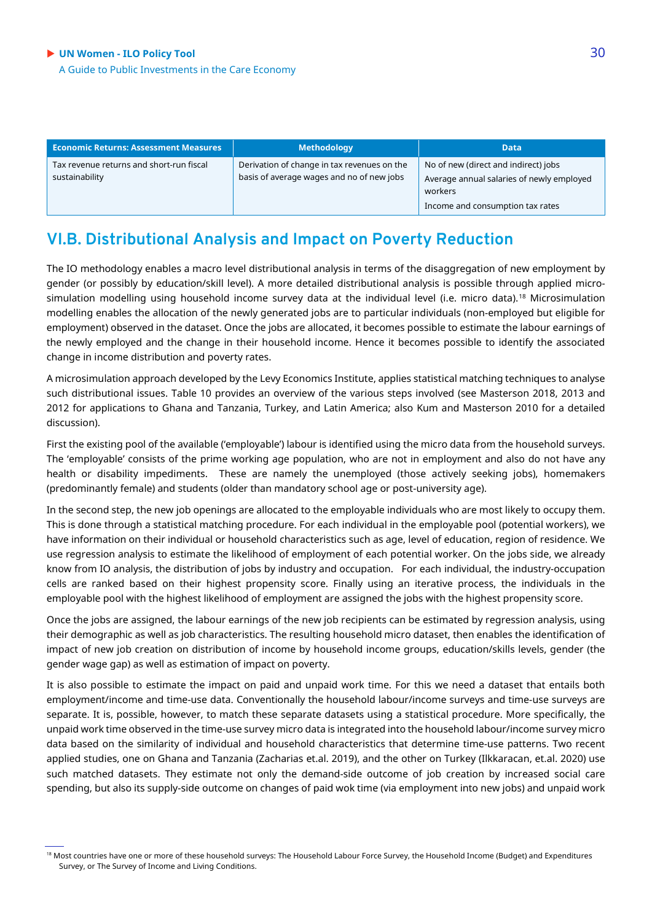#### **UN Women - ILO Policy Tool** 30

A Guide to Public Investments in the Care Economy

| <b>Economic Returns: Assessment Measures</b>               | <b>Methodology</b>                                                                       | <b>Data</b>                                                                                                                      |
|------------------------------------------------------------|------------------------------------------------------------------------------------------|----------------------------------------------------------------------------------------------------------------------------------|
| Tax revenue returns and short-run fiscal<br>sustainability | Derivation of change in tax revenues on the<br>basis of average wages and no of new jobs | No of new (direct and indirect) jobs<br>Average annual salaries of newly employed<br>workers<br>Income and consumption tax rates |

### **VI.B. Distributional Analysis and Impact on Poverty Reduction**

The IO methodology enables a macro level distributional analysis in terms of the disaggregation of new employment by gender (or possibly by education/skill level). A more detailed distributional analysis is possible through applied micro-simulation modelling using household income survey data at the individual level (i.e. micro data).<sup>[18](#page-29-0)</sup> Microsimulation modelling enables the allocation of the newly generated jobs are to particular individuals (non-employed but eligible for employment) observed in the dataset. Once the jobs are allocated, it becomes possible to estimate the labour earnings of the newly employed and the change in their household income. Hence it becomes possible to identify the associated change in income distribution and poverty rates.

A microsimulation approach developed by the Levy Economics Institute, applies statistical matching techniques to analyse such distributional issues. Table 10 provides an overview of the various steps involved (see Masterson 2018, 2013 and 2012 for applications to Ghana and Tanzania, Turkey, and Latin America; also Kum and Masterson 2010 for a detailed discussion).

First the existing pool of the available ('employable') labour is identified using the micro data from the household surveys. The 'employable' consists of the prime working age population, who are not in employment and also do not have any health or disability impediments. These are namely the unemployed (those actively seeking jobs), homemakers (predominantly female) and students (older than mandatory school age or post-university age).

In the second step, the new job openings are allocated to the employable individuals who are most likely to occupy them. This is done through a statistical matching procedure. For each individual in the employable pool (potential workers), we have information on their individual or household characteristics such as age, level of education, region of residence. We use regression analysis to estimate the likelihood of employment of each potential worker. On the jobs side, we already know from IO analysis, the distribution of jobs by industry and occupation. For each individual, the industry-occupation cells are ranked based on their highest propensity score. Finally using an iterative process, the individuals in the employable pool with the highest likelihood of employment are assigned the jobs with the highest propensity score.

Once the jobs are assigned, the labour earnings of the new job recipients can be estimated by regression analysis, using their demographic as well as job characteristics. The resulting household micro dataset, then enables the identification of impact of new job creation on distribution of income by household income groups, education/skills levels, gender (the gender wage gap) as well as estimation of impact on poverty.

It is also possible to estimate the impact on paid and unpaid work time. For this we need a dataset that entails both employment/income and time-use data. Conventionally the household labour/income surveys and time-use surveys are separate. It is, possible, however, to match these separate datasets using a statistical procedure. More specifically, the unpaid work time observed in the time-use survey micro data is integrated into the household labour/income survey micro data based on the similarity of individual and household characteristics that determine time-use patterns. Two recent applied studies, one on Ghana and Tanzania (Zacharias et.al. 2019), and the other on Turkey (Ilkkaracan, et.al. 2020) use such matched datasets. They estimate not only the demand-side outcome of job creation by increased social care spending, but also its supply-side outcome on changes of paid wok time (via employment into new jobs) and unpaid work

<span id="page-29-0"></span><sup>18</sup> Most countries have one or more of these household surveys: The Household Labour Force Survey, the Household Income (Budget) and Expenditures Survey, or The Survey of Income and Living Conditions.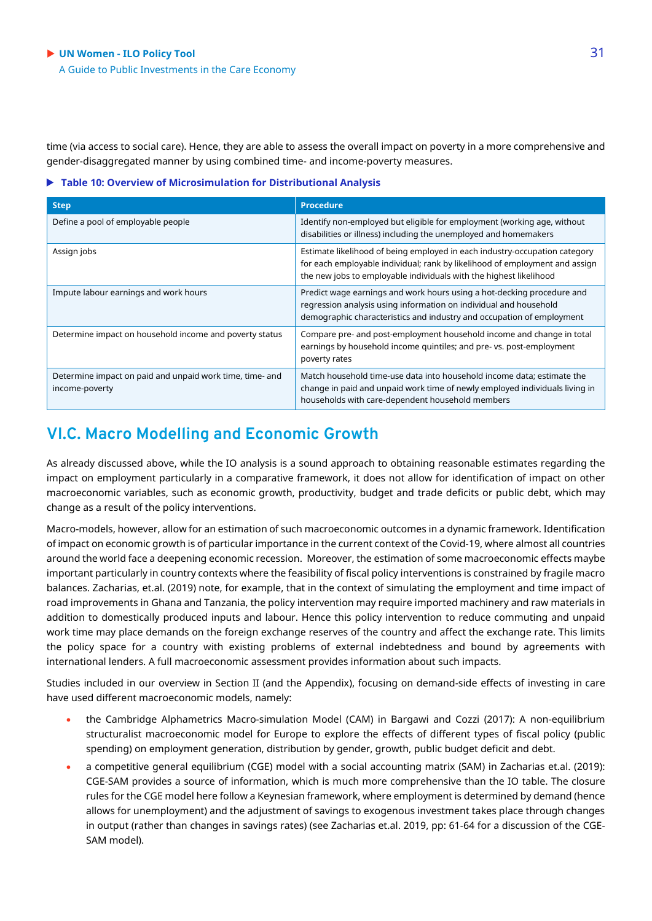#### **UN Women - ILO Policy Tool** 31 A Guide to Public Investments in the Care Economy

time (via access to social care). Hence, they are able to assess the overall impact on poverty in a more comprehensive and gender-disaggregated manner by using combined time- and income-poverty measures.

#### **Table 10: Overview of Microsimulation for Distributional Analysis**

| <b>Step</b>                                                                | <b>Procedure</b>                                                                                                                                                                                                                |
|----------------------------------------------------------------------------|---------------------------------------------------------------------------------------------------------------------------------------------------------------------------------------------------------------------------------|
| Define a pool of employable people                                         | Identify non-employed but eligible for employment (working age, without<br>disabilities or illness) including the unemployed and homemakers                                                                                     |
| Assign jobs                                                                | Estimate likelihood of being employed in each industry-occupation category<br>for each employable individual; rank by likelihood of employment and assign<br>the new jobs to employable individuals with the highest likelihood |
| Impute labour earnings and work hours                                      | Predict wage earnings and work hours using a hot-decking procedure and<br>regression analysis using information on individual and household<br>demographic characteristics and industry and occupation of employment            |
| Determine impact on household income and poverty status                    | Compare pre- and post-employment household income and change in total<br>earnings by household income quintiles; and pre- vs. post-employment<br>poverty rates                                                                  |
| Determine impact on paid and unpaid work time, time- and<br>income-poverty | Match household time-use data into household income data; estimate the<br>change in paid and unpaid work time of newly employed individuals living in<br>households with care-dependent household members                       |

### **VI.C. Macro Modelling and Economic Growth**

As already discussed above, while the IO analysis is a sound approach to obtaining reasonable estimates regarding the impact on employment particularly in a comparative framework, it does not allow for identification of impact on other macroeconomic variables, such as economic growth, productivity, budget and trade deficits or public debt, which may change as a result of the policy interventions.

Macro-models, however, allow for an estimation of such macroeconomic outcomes in a dynamic framework. Identification of impact on economic growth is of particular importance in the current context of the Covid-19, where almost all countries around the world face a deepening economic recession. Moreover, the estimation of some macroeconomic effects maybe important particularly in country contexts where the feasibility of fiscal policy interventions is constrained by fragile macro balances. Zacharias, et.al. (2019) note, for example, that in the context of simulating the employment and time impact of road improvements in Ghana and Tanzania, the policy intervention may require imported machinery and raw materials in addition to domestically produced inputs and labour. Hence this policy intervention to reduce commuting and unpaid work time may place demands on the foreign exchange reserves of the country and affect the exchange rate. This limits the policy space for a country with existing problems of external indebtedness and bound by agreements with international lenders. A full macroeconomic assessment provides information about such impacts.

Studies included in our overview in Section II (and the Appendix), focusing on demand-side effects of investing in care have used different macroeconomic models, namely:

- the Cambridge Alphametrics Macro-simulation Model (CAM) in Bargawi and Cozzi (2017): A non-equilibrium structuralist macroeconomic model for Europe to explore the effects of different types of fiscal policy (public spending) on employment generation, distribution by gender, growth, public budget deficit and debt.
- a competitive general equilibrium (CGE) model with a social accounting matrix (SAM) in Zacharias et.al. (2019): CGE-SAM provides a source of information, which is much more comprehensive than the IO table. The closure rules for the CGE model here follow a Keynesian framework, where employment is determined by demand (hence allows for unemployment) and the adjustment of savings to exogenous investment takes place through changes in output (rather than changes in savings rates) (see Zacharias et.al. 2019, pp: 61-64 for a discussion of the CGE-SAM model).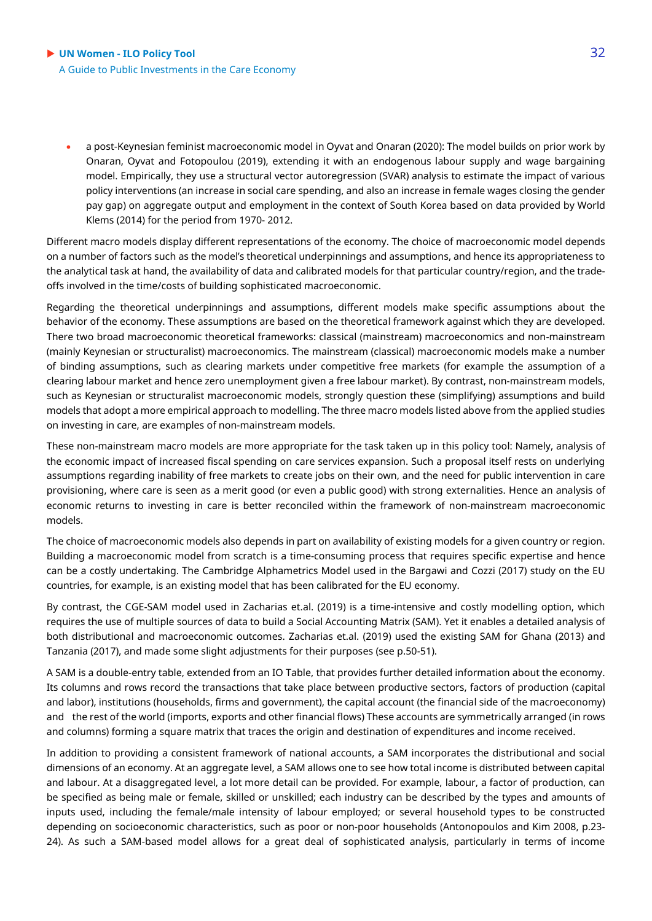• a post-Keynesian feminist macroeconomic model in Oyvat and Onaran (2020): The model builds on prior work by Onaran, Oyvat and Fotopoulou (2019), extending it with an endogenous labour supply and wage bargaining model. Empirically, they use a structural vector autoregression (SVAR) analysis to estimate the impact of various policy interventions (an increase in social care spending, and also an increase in female wages closing the gender pay gap) on aggregate output and employment in the context of South Korea based on data provided by World Klems (2014) for the period from 1970- 2012.

Different macro models display different representations of the economy. The choice of macroeconomic model depends on a number of factors such as the model's theoretical underpinnings and assumptions, and hence its appropriateness to the analytical task at hand, the availability of data and calibrated models for that particular country/region, and the tradeoffs involved in the time/costs of building sophisticated macroeconomic.

Regarding the theoretical underpinnings and assumptions, different models make specific assumptions about the behavior of the economy. These assumptions are based on the theoretical framework against which they are developed. There two broad macroeconomic theoretical frameworks: classical (mainstream) macroeconomics and non-mainstream (mainly Keynesian or structuralist) macroeconomics. The mainstream (classical) macroeconomic models make a number of binding assumptions, such as clearing markets under competitive free markets (for example the assumption of a clearing labour market and hence zero unemployment given a free labour market). By contrast, non-mainstream models, such as Keynesian or structuralist macroeconomic models, strongly question these (simplifying) assumptions and build models that adopt a more empirical approach to modelling. The three macro models listed above from the applied studies on investing in care, are examples of non-mainstream models.

These non-mainstream macro models are more appropriate for the task taken up in this policy tool: Namely, analysis of the economic impact of increased fiscal spending on care services expansion. Such a proposal itself rests on underlying assumptions regarding inability of free markets to create jobs on their own, and the need for public intervention in care provisioning, where care is seen as a merit good (or even a public good) with strong externalities. Hence an analysis of economic returns to investing in care is better reconciled within the framework of non-mainstream macroeconomic models.

The choice of macroeconomic models also depends in part on availability of existing models for a given country or region. Building a macroeconomic model from scratch is a time-consuming process that requires specific expertise and hence can be a costly undertaking. The Cambridge Alphametrics Model used in the Bargawi and Cozzi (2017) study on the EU countries, for example, is an existing model that has been calibrated for the EU economy.

By contrast, the CGE-SAM model used in Zacharias et.al. (2019) is a time-intensive and costly modelling option, which requires the use of multiple sources of data to build a Social Accounting Matrix (SAM). Yet it enables a detailed analysis of both distributional and macroeconomic outcomes. Zacharias et.al. (2019) used the existing SAM for Ghana (2013) and Tanzania (2017), and made some slight adjustments for their purposes (see p.50-51).

A SAM is a double-entry table, extended from an IO Table, that provides further detailed information about the economy. Its columns and rows record the transactions that take place between productive sectors, factors of production (capital and labor), institutions (households, firms and government), the capital account (the financial side of the macroeconomy) and 
the rest of the world (imports, exports and other financial flows) These accounts are symmetrically arranged (in rows and columns) forming a square matrix that traces the origin and destination of expenditures and income received.

In addition to providing a consistent framework of national accounts, a SAM incorporates the distributional and social dimensions of an economy. At an aggregate level, a SAM allows one to see how total income is distributed between capital and labour. At a disaggregated level, a lot more detail can be provided. For example, labour, a factor of production, can be specified as being male or female, skilled or unskilled; each industry can be described by the types and amounts of inputs used, including the female/male intensity of labour employed; or several household types to be constructed depending on socioeconomic characteristics, such as poor or non-poor households (Antonopoulos and Kim 2008, p.23- 24). As such a SAM-based model allows for a great deal of sophisticated analysis, particularly in terms of income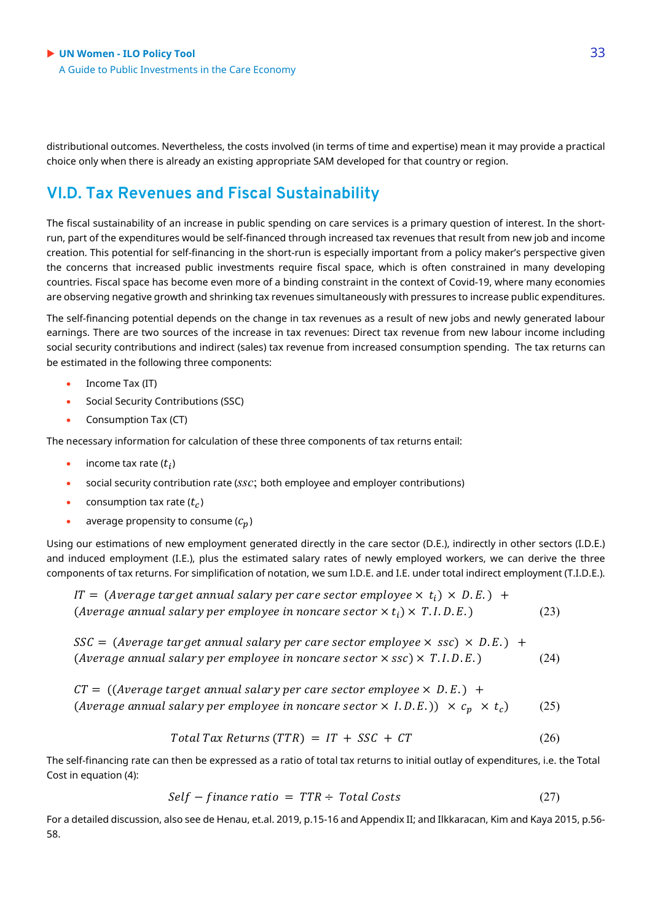distributional outcomes. Nevertheless, the costs involved (in terms of time and expertise) mean it may provide a practical choice only when there is already an existing appropriate SAM developed for that country or region.

### **VI.D. Tax Revenues and Fiscal Sustainability**

The fiscal sustainability of an increase in public spending on care services is a primary question of interest. In the shortrun, part of the expenditures would be self-financed through increased tax revenues that result from new job and income creation. This potential for self-financing in the short-run is especially important from a policy maker's perspective given the concerns that increased public investments require fiscal space, which is often constrained in many developing countries. Fiscal space has become even more of a binding constraint in the context of Covid-19, where many economies are observing negative growth and shrinking tax revenues simultaneously with pressures to increase public expenditures.

The self-financing potential depends on the change in tax revenues as a result of new jobs and newly generated labour earnings. There are two sources of the increase in tax revenues: Direct tax revenue from new labour income including social security contributions and indirect (sales) tax revenue from increased consumption spending. The tax returns can be estimated in the following three components:

- Income Tax (IT)
- Social Security Contributions (SSC)
- Consumption Tax (CT)

The necessary information for calculation of these three components of tax returns entail:

- income tax rate  $(t_i)$
- social security contribution rate (*ssc*; both employee and employer contributions)
- consumption tax rate  $(t<sub>c</sub>)$
- average propensity to consume  $(c_n)$

Using our estimations of new employment generated directly in the care sector (D.E.), indirectly in other sectors (I.D.E.) and induced employment (I.E.), plus the estimated salary rates of newly employed workers, we can derive the three components of tax returns. For simplification of notation, we sum I.D.E. and I.E. under total indirect employment (T.I.D.E.).

IT = (Average target annual salary per care sector employee  $\times t_i$ )  $\times$  D.E.) + (Average annual salary per employee in noncare sector  $\times t_i$ )  $\times$  T.I.D.E.) (23)

 $SSC = (Average target annual salary per care sector employee \times ssc) \times D.E.)$  + (Average annual salary per employee in noncare sector  $\times$  ssc)  $\times$  T.I.D.E.) (24)

 $CT = ((Average target annual salary per care sector employee \times D.E.) +$ (Average annual salary per employee in noncare sector  $\times$  I.D.E.))  $\times$   $c_p \times t_c$ ) (25)

$$
Total Tax Returns (TTR) = IT + SSC + CT \tag{26}
$$

The self-financing rate can then be expressed as a ratio of total tax returns to initial outlay of expenditures, i.e. the Total Cost in equation (4):

$$
Self-finance ratio = TTR \div Total Costs \qquad (27)
$$

For a detailed discussion, also see de Henau, et.al. 2019, p.15-16 and Appendix II; and Ilkkaracan, Kim and Kaya 2015, p.56- 58.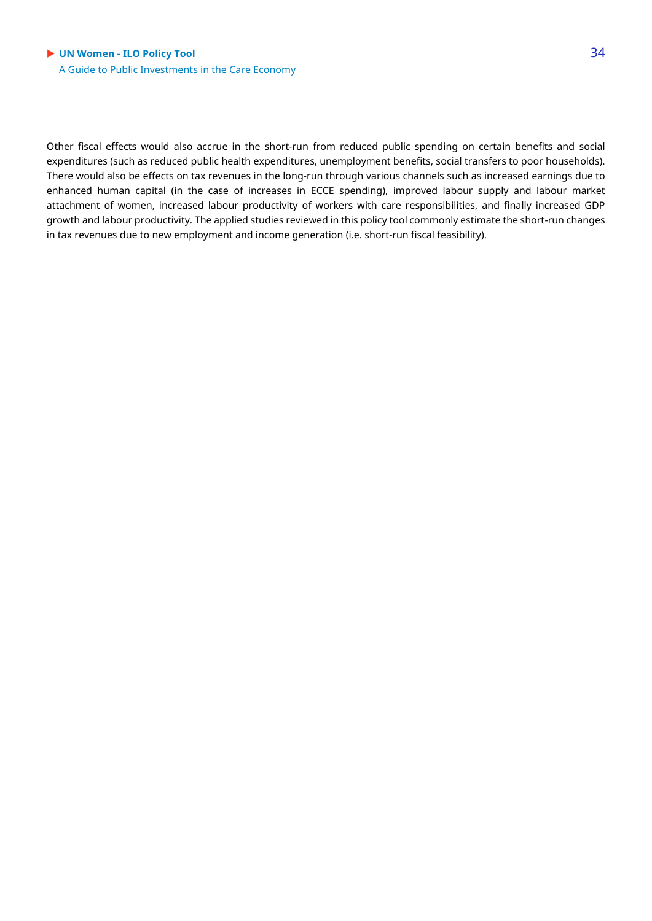Other fiscal effects would also accrue in the short-run from reduced public spending on certain benefits and social expenditures (such as reduced public health expenditures, unemployment benefits, social transfers to poor households). There would also be effects on tax revenues in the long-run through various channels such as increased earnings due to enhanced human capital (in the case of increases in ECCE spending), improved labour supply and labour market attachment of women, increased labour productivity of workers with care responsibilities, and finally increased GDP growth and labour productivity. The applied studies reviewed in this policy tool commonly estimate the short-run changes in tax revenues due to new employment and income generation (i.e. short-run fiscal feasibility).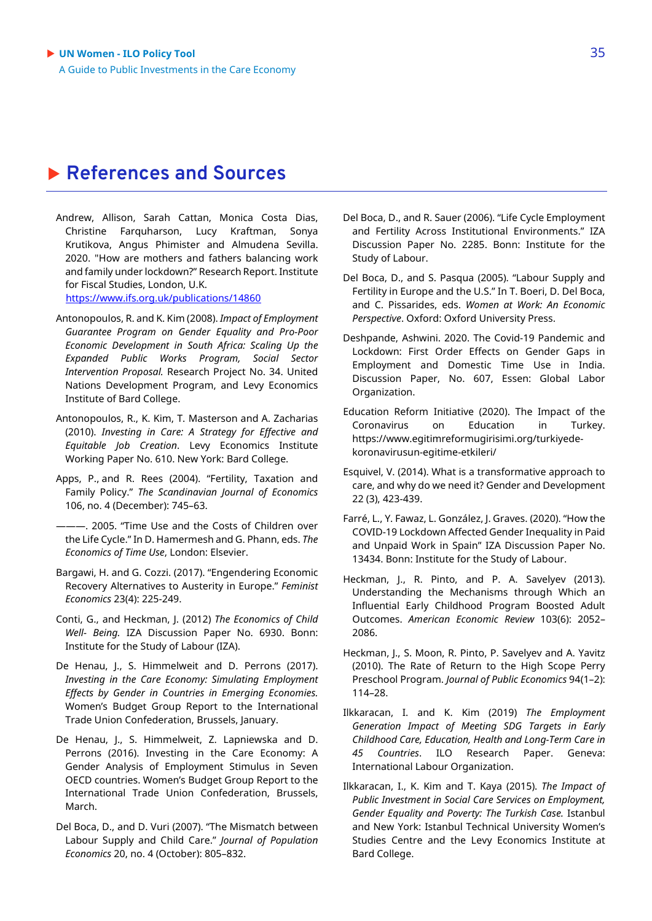### **References and Sources**

Andrew, Allison, Sarah Cattan, Monica Costa Dias, Christine Farquharson, Lucy Kraftman, Sonya Krutikova, Angus Phimister and Almudena Sevilla. 2020. "How are mothers and fathers balancing work and family under lockdown?" Research Report. Institute for Fiscal Studies, London, U.K.

<https://www.ifs.org.uk/publications/14860>

- Antonopoulos, R. and K. Kim (2008). *Impact of Employment Guarantee Program on Gender Equality and Pro-Poor Economic Development in South Africa: Scaling Up the Expanded Public Works Program, Social Sector Intervention Proposal.* Research Project No. 34. United Nations Development Program, and Levy Economics Institute of Bard College.
- Antonopoulos, R., K. Kim, T. Masterson and A. Zacharias (2010). *Investing in Care: A Strategy for Effective and Equitable Job Creation*. Levy Economics Institute Working Paper No. 610. New York: Bard College.
- Apps, P., and R. Rees (2004). "Fertility, Taxation and Family Policy." *The Scandinavian Journal of Economics* 106, no. 4 (December): 745–63.
- ———. 2005. "Time Use and the Costs of Children over the Life Cycle." In D. Hamermesh and G. Phann, eds. *The Economics of Time Use*, London: Elsevier.
- Bargawi, H. and G. Cozzi. (2017). "Engendering Economic Recovery Alternatives to Austerity in Europe." *Feminist Economics* 23(4): 225-249.
- Conti, G., and Heckman, J. (2012) *The Economics of Child Well- Being.* IZA Discussion Paper No. 6930. Bonn: Institute for the Study of Labour (IZA).
- De Henau, J., S. Himmelweit and D. Perrons (2017). *Investing in the Care Economy: Simulating Employment Effects by Gender in Countries in Emerging Economies.*  Women's Budget Group Report to the International Trade Union Confederation, Brussels, January.
- De Henau, I., S. Himmelweit, Z. Lapniewska and D. Perrons (2016). Investing in the Care Economy: A Gender Analysis of Employment Stimulus in Seven OECD countries. Women's Budget Group Report to the International Trade Union Confederation, Brussels, March.
- Del Boca, D., and D. Vuri (2007). "The Mismatch between Labour Supply and Child Care." *Journal of Population Economics* 20, no. 4 (October): 805–832.
- Del Boca, D., and R. Sauer (2006). "Life Cycle Employment and Fertility Across Institutional Environments." IZA Discussion Paper No. 2285. Bonn: Institute for the Study of Labour.
- Del Boca, D., and S. Pasqua (2005). "Labour Supply and Fertility in Europe and the U.S." In T. Boeri, D. Del Boca, and C. Pissarides, eds. *Women at Work: An Economic Perspective*. Oxford: Oxford University Press.
- Deshpande, Ashwini. 2020. The Covid-19 Pandemic and Lockdown: First Order Effects on Gender Gaps in Employment and Domestic Time Use in India. Discussion Paper, No. 607, Essen: Global Labor Organization.
- Education Reform Initiative (2020). The Impact of the Coronavirus on Education in Turkey. https://www.egitimreformugirisimi.org/turkiyedekoronavirusun-egitime-etkileri/
- Esquivel, V. (2014). What is a transformative approach to care, and why do we need it? Gender and Development 22 (3), 423-439.
- Farré, L., Y. Fawaz, L. González, J. Graves. (2020). "How the COVID-19 Lockdown Affected Gender Inequality in Paid and Unpaid Work in Spain" IZA Discussion Paper No. 13434. Bonn: Institute for the Study of Labour.
- Heckman, J., R. Pinto, and P. A. Savelyev (2013). Understanding the Mechanisms through Which an Influential Early Childhood Program Boosted Adult Outcomes. *American Economic Review* 103(6): 2052– 2086.
- Heckman, J., S. Moon, R. Pinto, P. Savelyev and A. Yavitz (2010). The Rate of Return to the High Scope Perry Preschool Program. *Journal of Public Economics* 94(1–2): 114–28.
- Ilkkaracan, I. and K. Kim (2019) *The Employment Generation Impact of Meeting SDG Targets in Early Childhood Care, Education, Health and Long-Term Care in 45 Countries*. ILO Research Paper. Geneva: International Labour Organization.
- Ilkkaracan, I., K. Kim and T. Kaya (2015). *The Impact of Public Investment in Social Care Services on Employment, Gender Equality and Poverty: The Turkish Case.* Istanbul and New York: Istanbul Technical University Women's Studies Centre and the Levy Economics Institute at Bard College.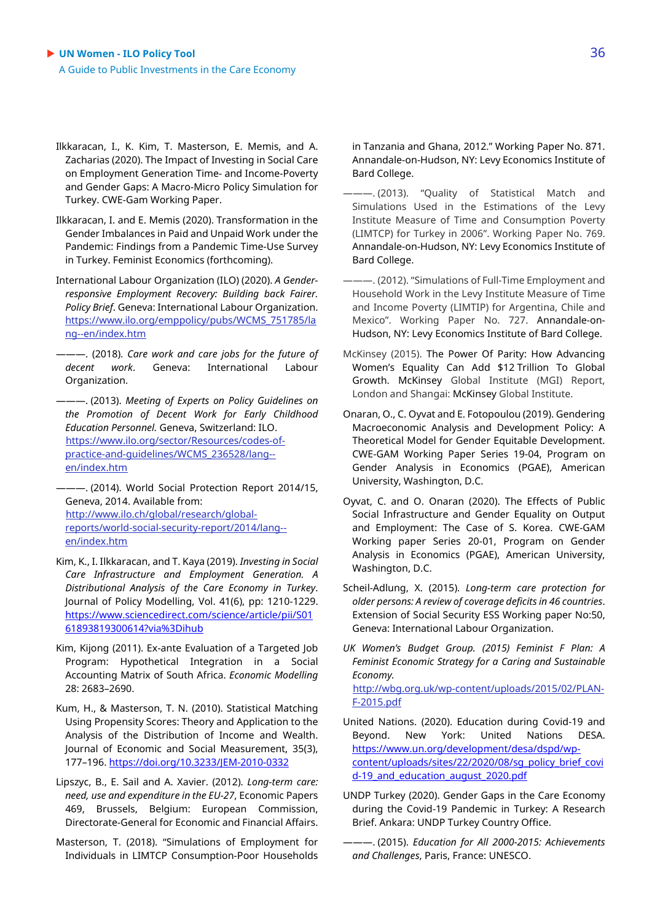- Ilkkaracan, I., K. Kim, T. Masterson, E. Memis, and A. Zacharias (2020). The Impact of Investing in Social Care on Employment Generation Time- and Income-Poverty and Gender Gaps: A Macro-Micro Policy Simulation for Turkey. CWE-Gam Working Paper.
- Ilkkaracan, I. and E. Memis (2020). Transformation in the Gender Imbalances in Paid and Unpaid Work under the Pandemic: Findings from a Pandemic Time-Use Survey in Turkey. Feminist Economics (forthcoming).
- International Labour Organization (ILO) (2020). *A Genderresponsive Employment Recovery: Building back Fairer. Policy Brief*. Geneva: International Labour Organization. [https://www.ilo.org/emppolicy/pubs/WCMS\\_751785/la](https://www.ilo.org/emppolicy/pubs/WCMS_751785/lang--en/index.htm) [ng--en/index.htm](https://www.ilo.org/emppolicy/pubs/WCMS_751785/lang--en/index.htm)

———. (2018). *Care work and care jobs for the future of decent work*. Geneva: International Labour Organization.

———. (2013). *Meeting of Experts on Policy Guidelines on the Promotion of Decent Work for Early Childhood Education Personnel.* Geneva, Switzerland: ILO. [https://www.ilo.org/sector/Resources/codes-of](https://www.ilo.org/sector/Resources/codes-of-practice-and-guidelines/WCMS_236528/lang--en/index.htm)[practice-and-guidelines/WCMS\\_236528/lang-](https://www.ilo.org/sector/Resources/codes-of-practice-and-guidelines/WCMS_236528/lang--en/index.htm) [en/index.htm](https://www.ilo.org/sector/Resources/codes-of-practice-and-guidelines/WCMS_236528/lang--en/index.htm)

———. (2014). World Social Protection Report 2014/15, Geneva, 2014. Available from: [http://www.ilo.ch/global/research/global](http://www.ilo.ch/global/research/global-reports/world-social-security-report/2014/lang--en/index.htm)[reports/world-social-security-report/2014/lang-](http://www.ilo.ch/global/research/global-reports/world-social-security-report/2014/lang--en/index.htm) [en/index.htm](http://www.ilo.ch/global/research/global-reports/world-social-security-report/2014/lang--en/index.htm) 

- Kim, K., I. Ilkkaracan, and T. Kaya (2019). *Investing in Social Care Infrastructure and Employment Generation. A Distributional Analysis of the Care Economy in Turkey*. Journal of Policy Modelling, Vol. 41(6), pp: 1210-1229. [https://www.sciencedirect.com/science/article/pii/S01](https://www.sciencedirect.com/science/article/pii/S0161893819300614?via%3Dihub) [61893819300614?via%3Dihub](https://www.sciencedirect.com/science/article/pii/S0161893819300614?via%3Dihub)
- Kim, Kijong (2011). Ex-ante Evaluation of a Targeted Job Program: Hypothetical Integration in a Social Accounting Matrix of South Africa. *Economic Modelling*  28: 2683–2690.
- Kum, H., & Masterson, T. N. (2010). Statistical Matching Using Propensity Scores: Theory and Application to the Analysis of the Distribution of Income and Wealth. Journal of Economic and Social Measurement, 35(3), 177–196[. https://doi.org/10.3233/JEM-2010-0332](https://doi.org/10.3233/JEM-2010-0332)
- Lipszyc, B., E. Sail and A. Xavier. (2012). *Long-term care: need, use and expenditure in the EU-27*, Economic Papers 469, Brussels, Belgium: European Commission, Directorate-General for Economic and Financial Affairs.
- Masterson, T. (2018). "Simulations of Employment for Individuals in LIMTCP Consumption-Poor Households

in Tanzania and Ghana, 2012." Working Paper No. 871. Annandale-on-Hudson, NY: Levy Economics Institute of Bard College.

- ———. (2013). "Quality of Statistical Match and Simulations Used in the Estimations of the Levy Institute Measure of Time and Consumption Poverty (LIMTCP) for Turkey in 2006". Working Paper No. 769. Annandale-on-Hudson, NY: Levy Economics Institute of Bard College.
- ———. (2012). "Simulations of Full-Time Employment and Household Work in the Levy Institute Measure of Time and Income Poverty (LIMTIP) for Argentina, Chile and Mexico". Working Paper No. 727. Annandale-on-Hudson, NY: Levy Economics Institute of Bard College.
- McKinsey (2015). The Power Of Parity: How Advancing Women's Equality Can Add \$12 Trillion To Global Growth. McKinsey Global Institute (MGI) Report, London and Shangai: McKinsey Global Institute.
- Onaran, O., C. Oyvat and E. Fotopoulou (2019). Gendering Macroeconomic Analysis and Development Policy: A Theoretical Model for Gender Equitable Development. CWE-GAM Working Paper Series 19-04, Program on Gender Analysis in Economics (PGAE), American University, Washington, D.C.
- Oyvat, C. and O. Onaran (2020). The Effects of Public Social Infrastructure and Gender Equality on Output and Employment: The Case of S. Korea. CWE-GAM Working paper Series 20-01, Program on Gender Analysis in Economics (PGAE), American University, Washington, D.C.
- Scheil-Adlung, X. (2015). *Long-term care protection for older persons: A review of coverage deficits in 46 countries*. Extension of Social Security ESS Working paper No:50, Geneva: International Labour Organization.
- *UK Women's Budget Group. (2015) Feminist F Plan: A Feminist Economic Strategy for a Caring and Sustainable Economy.*  [http://wbg.org.uk/wp-content/uploads/2015/02/PLAN-](http://wbg.org.uk/wp-content/uploads/2015/02/PLAN-F-2015.pdf)[F-2015.pdf](http://wbg.org.uk/wp-content/uploads/2015/02/PLAN-F-2015.pdf)
- United Nations. (2020). Education during Covid-19 and Beyond. New York: United Nations DESA. [https://www.un.org/development/desa/dspd/wp](https://www.un.org/development/desa/dspd/wp-content/uploads/sites/22/2020/08/sg_policy_brief_covid-19_and_education_august_2020.pdf)[content/uploads/sites/22/2020/08/sg\\_policy\\_brief\\_covi](https://www.un.org/development/desa/dspd/wp-content/uploads/sites/22/2020/08/sg_policy_brief_covid-19_and_education_august_2020.pdf) d-19 and education august 2020.pdf
- UNDP Turkey (2020). Gender Gaps in the Care Economy during the Covid-19 Pandemic in Turkey: A Research Brief. Ankara: UNDP Turkey Country Office.
- ———. (2015). *Education for All 2000-2015: Achievements and Challenges*, Paris, France: UNESCO.